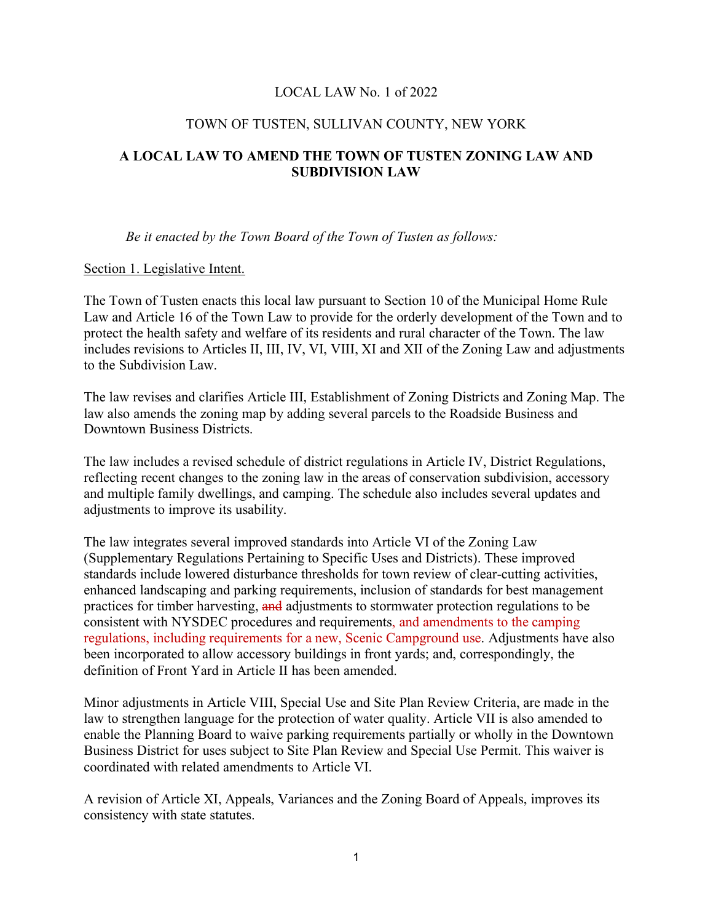#### LOCAL LAW No. 1 of 2022

#### TOWN OF TUSTEN, SULLIVAN COUNTY, NEW YORK

# **A LOCAL LAW TO AMEND THE TOWN OF TUSTEN ZONING LAW AND SUBDIVISION LAW**

*Be it enacted by the Town Board of the Town of Tusten as follows:*

#### Section 1. Legislative Intent.

The Town of Tusten enacts this local law pursuant to Section 10 of the Municipal Home Rule Law and Article 16 of the Town Law to provide for the orderly development of the Town and to protect the health safety and welfare of its residents and rural character of the Town. The law includes revisions to Articles II, III, IV, VI, VIII, XI and XII of the Zoning Law and adjustments to the Subdivision Law.

The law revises and clarifies Article III, Establishment of Zoning Districts and Zoning Map. The law also amends the zoning map by adding several parcels to the Roadside Business and Downtown Business Districts.

The law includes a revised schedule of district regulations in Article IV, District Regulations, reflecting recent changes to the zoning law in the areas of conservation subdivision, accessory and multiple family dwellings, and camping. The schedule also includes several updates and adjustments to improve its usability.

The law integrates several improved standards into Article VI of the Zoning Law (Supplementary Regulations Pertaining to Specific Uses and Districts). These improved standards include lowered disturbance thresholds for town review of clear-cutting activities, enhanced landscaping and parking requirements, inclusion of standards for best management practices for timber harvesting, and adjustments to stormwater protection regulations to be consistent with NYSDEC procedures and requirements, and amendments to the camping regulations, including requirements for a new, Scenic Campground use. Adjustments have also been incorporated to allow accessory buildings in front yards; and, correspondingly, the definition of Front Yard in Article II has been amended.

Minor adjustments in Article VIII, Special Use and Site Plan Review Criteria, are made in the law to strengthen language for the protection of water quality. Article VII is also amended to enable the Planning Board to waive parking requirements partially or wholly in the Downtown Business District for uses subject to Site Plan Review and Special Use Permit. This waiver is coordinated with related amendments to Article VI.

A revision of Article XI, Appeals, Variances and the Zoning Board of Appeals, improves its consistency with state statutes.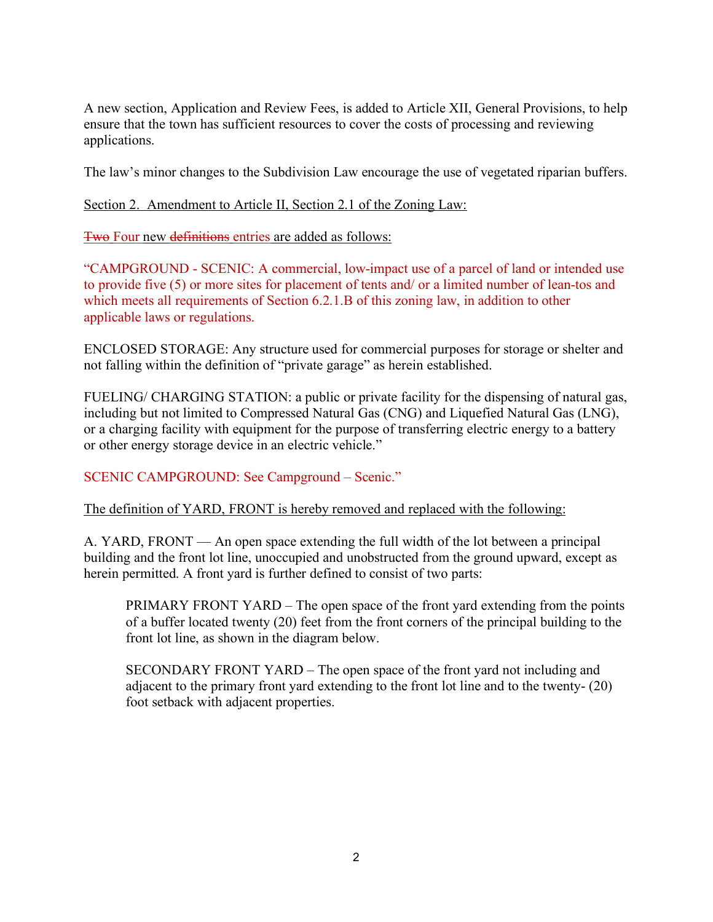A new section, Application and Review Fees, is added to Article XII, General Provisions, to help ensure that the town has sufficient resources to cover the costs of processing and reviewing applications.

The law's minor changes to the Subdivision Law encourage the use of vegetated riparian buffers.

### Section 2. Amendment to Article II, Section 2.1 of the Zoning Law:

Two Four new definitions entries are added as follows:

"CAMPGROUND - SCENIC: A commercial, low-impact use of a parcel of land or intended use to provide five (5) or more sites for placement of tents and/ or a limited number of lean-tos and which meets all requirements of Section 6.2.1.B of this zoning law, in addition to other applicable laws or regulations.

ENCLOSED STORAGE: Any structure used for commercial purposes for storage or shelter and not falling within the definition of "private garage" as herein established.

FUELING/ CHARGING STATION: a public or private facility for the dispensing of natural gas, including but not limited to Compressed Natural Gas (CNG) and Liquefied Natural Gas (LNG), or a charging facility with equipment for the purpose of transferring electric energy to a battery or other energy storage device in an electric vehicle."

# SCENIC CAMPGROUND: See Campground – Scenic."

#### The definition of YARD, FRONT is hereby removed and replaced with the following:

A. YARD, FRONT — An open space extending the full width of the lot between a principal building and the front lot line, unoccupied and unobstructed from the ground upward, except as herein permitted. A front yard is further defined to consist of two parts:

PRIMARY FRONT YARD – The open space of the front yard extending from the points of a buffer located twenty (20) feet from the front corners of the principal building to the front lot line, as shown in the diagram below.

SECONDARY FRONT YARD – The open space of the front yard not including and adjacent to the primary front yard extending to the front lot line and to the twenty- (20) foot setback with adjacent properties.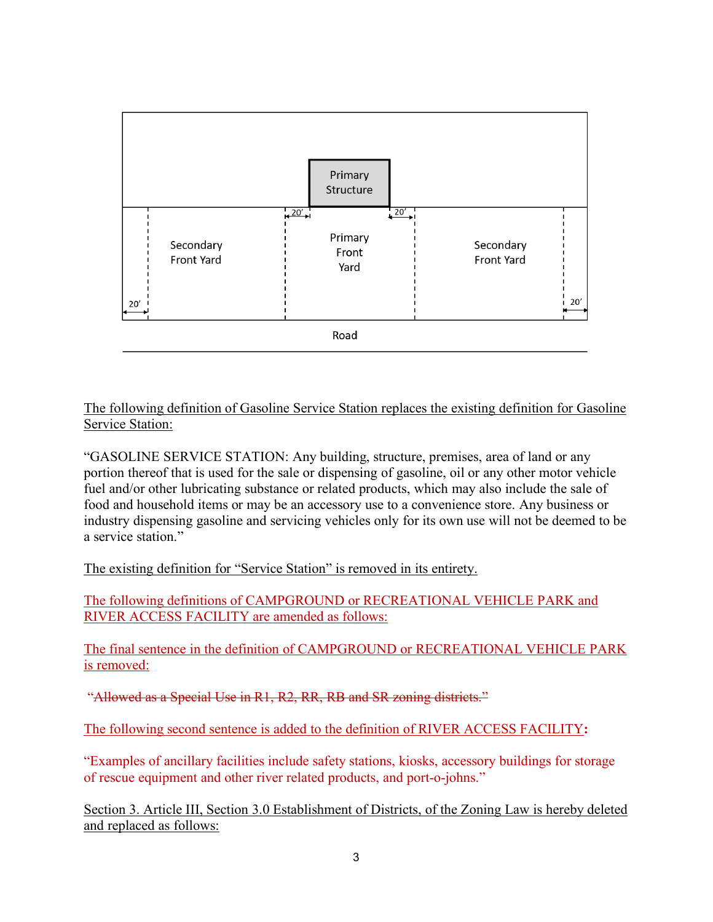

### The following definition of Gasoline Service Station replaces the existing definition for Gasoline Service Station:

"GASOLINE SERVICE STATION: Any building, structure, premises, area of land or any portion thereof that is used for the sale or dispensing of gasoline, oil or any other motor vehicle fuel and/or other lubricating substance or related products, which may also include the sale of food and household items or may be an accessory use to a convenience store. Any business or industry dispensing gasoline and servicing vehicles only for its own use will not be deemed to be a service station."

The existing definition for "Service Station" is removed in its entirety.

The following definitions of CAMPGROUND or RECREATIONAL VEHICLE PARK and RIVER ACCESS FACILITY are amended as follows:

The final sentence in the definition of CAMPGROUND or RECREATIONAL VEHICLE PARK is removed:

"Allowed as a Special Use in R1, R2, RR, RB and SR zoning districts."

The following second sentence is added to the definition of RIVER ACCESS FACILITY**:** 

"Examples of ancillary facilities include safety stations, kiosks, accessory buildings for storage of rescue equipment and other river related products, and port-o-johns."

Section 3. Article III, Section 3.0 Establishment of Districts, of the Zoning Law is hereby deleted and replaced as follows: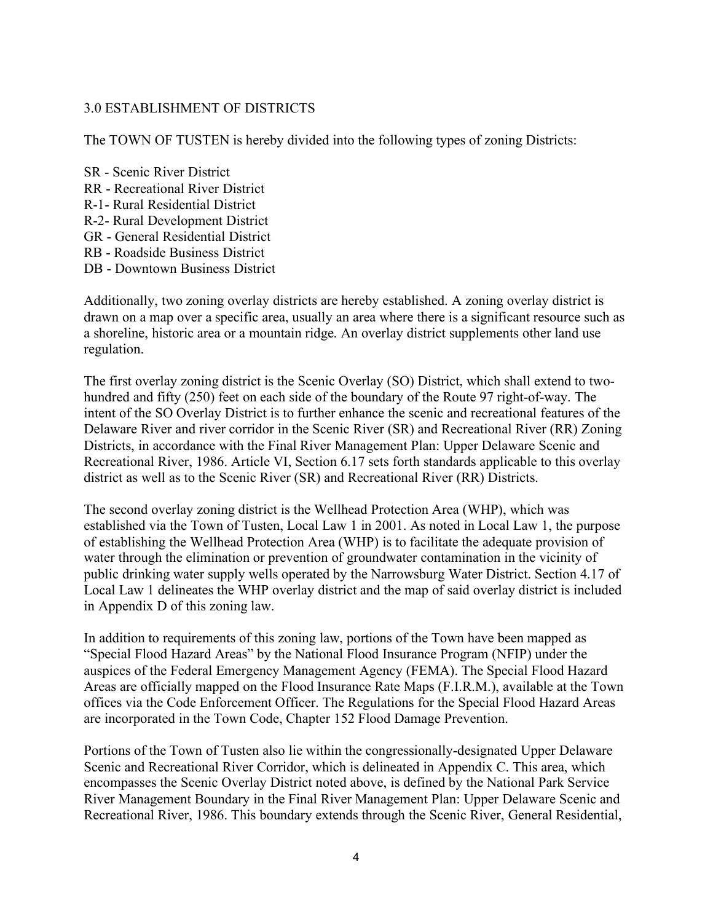### 3.0 ESTABLISHMENT OF DISTRICTS

The TOWN OF TUSTEN is hereby divided into the following types of zoning Districts:

- SR Scenic River District
- RR Recreational River District
- R-1- Rural Residential District
- R-2- Rural Development District
- GR General Residential District
- RB Roadside Business District
- DB Downtown Business District

Additionally, two zoning overlay districts are hereby established. A zoning overlay district is drawn on a map over a specific area, usually an area where there is a significant resource such as a shoreline, historic area or a mountain ridge. An overlay district supplements other land use regulation.

The first overlay zoning district is the Scenic Overlay (SO) District, which shall extend to twohundred and fifty (250) feet on each side of the boundary of the Route 97 right-of-way. The intent of the SO Overlay District is to further enhance the scenic and recreational features of the Delaware River and river corridor in the Scenic River (SR) and Recreational River (RR) Zoning Districts, in accordance with the Final River Management Plan: Upper Delaware Scenic and Recreational River, 1986. Article VI, Section 6.17 sets forth standards applicable to this overlay district as well as to the Scenic River (SR) and Recreational River (RR) Districts.

The second overlay zoning district is the Wellhead Protection Area (WHP), which was established via the Town of Tusten, Local Law 1 in 2001. As noted in Local Law 1, the purpose of establishing the Wellhead Protection Area (WHP) is to facilitate the adequate provision of water through the elimination or prevention of groundwater contamination in the vicinity of public drinking water supply wells operated by the Narrowsburg Water District. Section 4.17 of Local Law 1 delineates the WHP overlay district and the map of said overlay district is included in Appendix D of this zoning law.

In addition to requirements of this zoning law, portions of the Town have been mapped as "Special Flood Hazard Areas" by the National Flood Insurance Program (NFIP) under the auspices of the Federal Emergency Management Agency (FEMA). The Special Flood Hazard Areas are officially mapped on the Flood Insurance Rate Maps (F.I.R.M.), available at the Town offices via the Code Enforcement Officer. The Regulations for the Special Flood Hazard Areas are incorporated in the Town Code, Chapter 152 Flood Damage Prevention.

Portions of the Town of Tusten also lie within the congressionally-designated Upper Delaware Scenic and Recreational River Corridor, which is delineated in Appendix C. This area, which encompasses the Scenic Overlay District noted above, is defined by the National Park Service River Management Boundary in the Final River Management Plan: Upper Delaware Scenic and Recreational River, 1986. This boundary extends through the Scenic River, General Residential,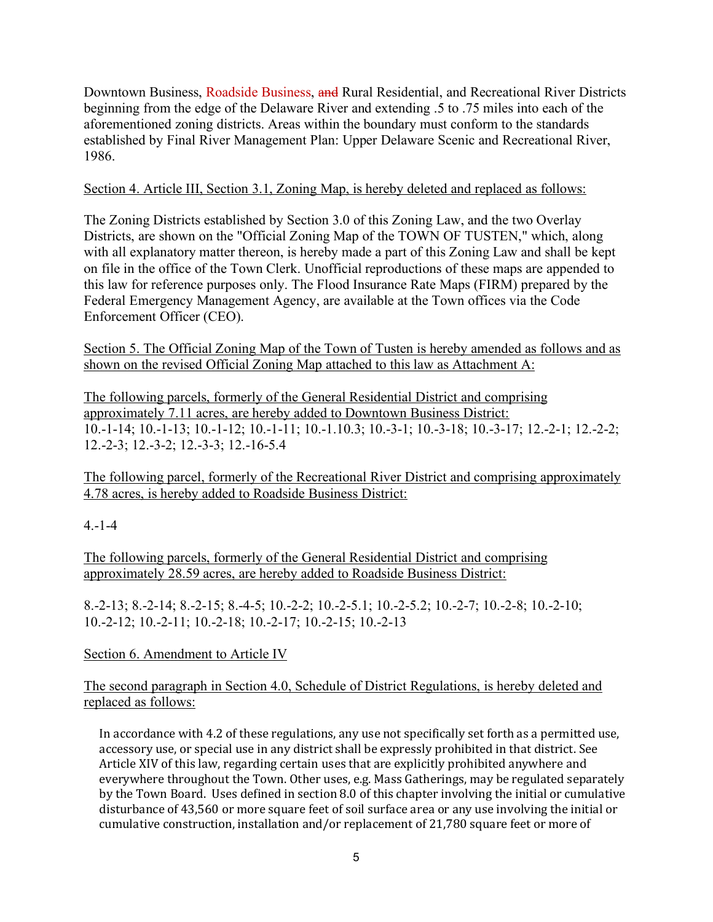Downtown Business, Roadside Business, and Rural Residential, and Recreational River Districts beginning from the edge of the Delaware River and extending .5 to .75 miles into each of the aforementioned zoning districts. Areas within the boundary must conform to the standards established by Final River Management Plan: Upper Delaware Scenic and Recreational River, 1986.

# Section 4. Article III, Section 3.1, Zoning Map, is hereby deleted and replaced as follows:

The Zoning Districts established by Section 3.0 of this Zoning Law, and the two Overlay Districts, are shown on the "Official Zoning Map of the TOWN OF TUSTEN," which, along with all explanatory matter thereon, is hereby made a part of this Zoning Law and shall be kept on file in the office of the Town Clerk. Unofficial reproductions of these maps are appended to this law for reference purposes only. The Flood Insurance Rate Maps (FIRM) prepared by the Federal Emergency Management Agency, are available at the Town offices via the Code Enforcement Officer (CEO).

Section 5. The Official Zoning Map of the Town of Tusten is hereby amended as follows and as shown on the revised Official Zoning Map attached to this law as Attachment A:

The following parcels, formerly of the General Residential District and comprising approximately 7.11 acres, are hereby added to Downtown Business District: 10.-1-14; 10.-1-13; 10.-1-12; 10.-1-11; 10.-1.10.3; 10.-3-1; 10.-3-18; 10.-3-17; 12.-2-1; 12.-2-2; 12.-2-3; 12.-3-2; 12.-3-3; 12.-16-5.4

The following parcel, formerly of the Recreational River District and comprising approximately 4.78 acres, is hereby added to Roadside Business District:

# 4.-1-4

The following parcels, formerly of the General Residential District and comprising approximately 28.59 acres, are hereby added to Roadside Business District:

8.-2-13; 8.-2-14; 8.-2-15; 8.-4-5; 10.-2-2; 10.-2-5.1; 10.-2-5.2; 10.-2-7; 10.-2-8; 10.-2-10; 10.-2-12; 10.-2-11; 10.-2-18; 10.-2-17; 10.-2-15; 10.-2-13

# Section 6. Amendment to Article IV

# The second paragraph in Section 4.0, Schedule of District Regulations, is hereby deleted and replaced as follows:

In accordance with 4.2 of these regulations, any use not specifically set forth as a permitted use, accessory use, or special use in any district shall be expressly prohibited in that district. See Article XIV of this law, regarding certain uses that are explicitly prohibited anywhere and everywhere throughout the Town. Other uses, e.g. Mass Gatherings, may be regulated separately by the Town Board. Uses defined in section 8.0 of this chapter involving the initial or cumulative disturbance of 43,560 or more square feet of soil surface area or any use involving the initial or cumulative construction, installation and/or replacement of 21,780 square feet or more of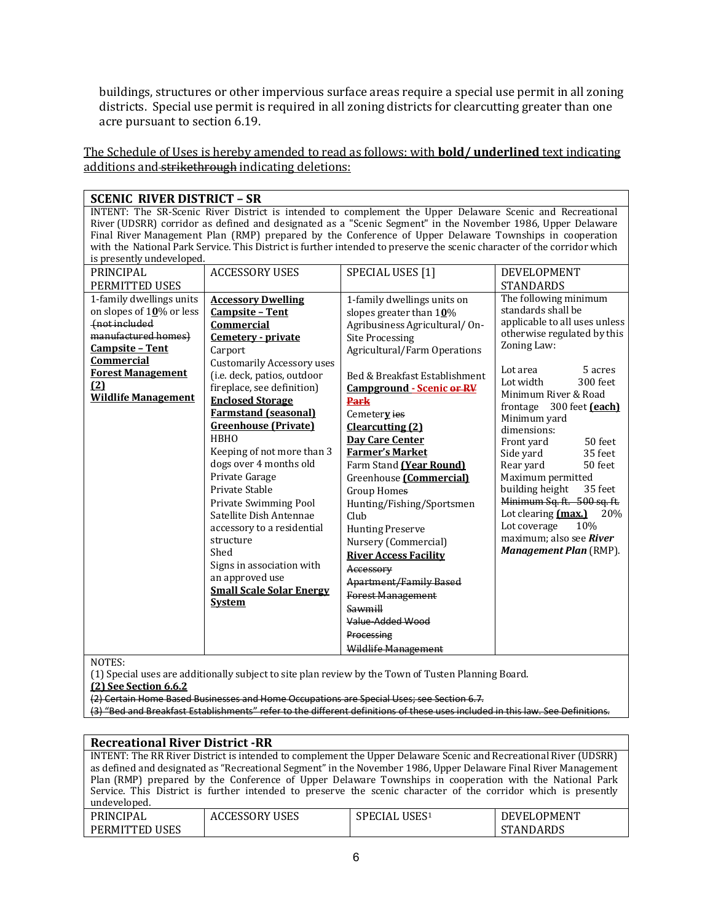buildings, structures or other impervious surface areas require a special use permit in all zoning districts. Special use permit is required in all zoning districts for clearcutting greater than one acre pursuant to section 6.19.

The Schedule of Uses is hereby amended to read as follows: with **bold/ underlined** text indicating additions and strikethrough indicating deletions:

| <b>SCENIC RIVER DISTRICT - SR</b> |                                   |                                                                                                                          |                               |
|-----------------------------------|-----------------------------------|--------------------------------------------------------------------------------------------------------------------------|-------------------------------|
|                                   |                                   | INTENT: The SR-Scenic River District is intended to complement the Upper Delaware Scenic and Recreational                |                               |
|                                   |                                   | River (UDSRR) corridor as defined and designated as a "Scenic Segment" in the November 1986, Upper Delaware              |                               |
|                                   |                                   | Final River Management Plan (RMP) prepared by the Conference of Upper Delaware Townships in cooperation                  |                               |
|                                   |                                   | with the National Park Service. This District is further intended to preserve the scenic character of the corridor which |                               |
| is presently undeveloped.         |                                   |                                                                                                                          |                               |
| <b>PRINCIPAL</b>                  | <b>ACCESSORY USES</b>             | SPECIAL USES [1]                                                                                                         | DEVELOPMENT                   |
| PERMITTED USES                    |                                   |                                                                                                                          | <b>STANDARDS</b>              |
| 1-family dwellings units          | <b>Accessory Dwelling</b>         | 1-family dwellings units on                                                                                              | The following minimum         |
| on slopes of $10\%$ or less       | <b>Campsite - Tent</b>            | slopes greater than $10\%$                                                                                               | standards shall be            |
| (not included                     | Commercial                        | Agribusiness Agricultural/On-                                                                                            | applicable to all uses unless |
| manufactured homes)               | Cemetery - private                | <b>Site Processing</b>                                                                                                   | otherwise regulated by this   |
| <b>Campsite - Tent</b>            | Carport                           | <b>Agricultural/Farm Operations</b>                                                                                      | Zoning Law:                   |
| Commercial                        | <b>Customarily Accessory uses</b> |                                                                                                                          |                               |
| <b>Forest Management</b>          | (i.e. deck, patios, outdoor       | Bed & Breakfast Establishment                                                                                            | 5 acres<br>Lot area           |
| (2)                               | fireplace, see definition)        | <b>Campground - Scenic or RV</b>                                                                                         | 300 feet<br>Lot width         |
| <b>Wildlife Management</b>        | <b>Enclosed Storage</b>           | <b>Park</b>                                                                                                              | Minimum River & Road          |
|                                   | <b>Farmstand (seasonal)</b>       | Cemetery ies                                                                                                             | frontage 300 feet (each)      |
|                                   | <b>Greenhouse</b> (Private)       | Clearcutting (2)                                                                                                         | Minimum yard<br>dimensions:   |
|                                   | <b>HBHO</b>                       | Day Care Center                                                                                                          | Front yard<br>50 feet         |
|                                   | Keeping of not more than 3        | <b>Farmer's Market</b>                                                                                                   | Side yard<br>35 feet          |
|                                   | dogs over 4 months old            | Farm Stand (Year Round)                                                                                                  | Rear yard<br>50 feet          |
|                                   | Private Garage                    | Greenhouse [Commercial]                                                                                                  | Maximum permitted             |
|                                   | Private Stable                    | <b>Group Homes</b>                                                                                                       | 35 feet<br>building height    |
|                                   | Private Swimming Pool             | Hunting/Fishing/Sportsmen                                                                                                | Minimum Sq. ft. 500 sq. ft.   |
|                                   | Satellite Dish Antennae           | Club                                                                                                                     | Lot clearing (max.)<br>20%    |
|                                   | accessory to a residential        | <b>Hunting Preserve</b>                                                                                                  | Lot coverage<br>10%           |
|                                   | structure                         |                                                                                                                          | maximum; also see River       |
|                                   | Shed                              | Nursery (Commercial)                                                                                                     | Management Plan (RMP).        |
|                                   | Signs in association with         | <b>River Access Facility</b>                                                                                             |                               |
|                                   | an approved use                   | Accessory                                                                                                                |                               |
|                                   | <b>Small Scale Solar Energy</b>   | <b>Apartment/Family Based</b>                                                                                            |                               |
|                                   | <b>System</b>                     | <b>Forest Management</b>                                                                                                 |                               |
|                                   |                                   | Sawmill                                                                                                                  |                               |
|                                   |                                   | Value Added Wood                                                                                                         |                               |
|                                   |                                   | Processing                                                                                                               |                               |
|                                   |                                   | Wildlife Management                                                                                                      |                               |
| 100000                            |                                   |                                                                                                                          |                               |

NOTES:

(1) Special uses are additionally subject to site plan review by the Town of Tusten Planning Board.

**(2) See Section 6.6.2**

(2) Certain Home Based Businesses and Home Occupations are Special Uses; see Section 6.7.

(3) "Bed and Breakfast Establishments" refer to the different definitions of these uses included in this law. See Definitions.

#### **Recreational River District -RR**

| INTENT: The RR River District is intended to complement the Upper Delaware Scenic and Recreational River (UDSRR) |                                                                                                                 |                           |                  |  |
|------------------------------------------------------------------------------------------------------------------|-----------------------------------------------------------------------------------------------------------------|---------------------------|------------------|--|
|                                                                                                                  | as defined and designated as "Recreational Segment" in the November 1986, Upper Delaware Final River Management |                           |                  |  |
|                                                                                                                  | Plan (RMP) prepared by the Conference of Upper Delaware Townships in cooperation with the National Park         |                           |                  |  |
| Service. This District is further intended to preserve the scenic character of the corridor which is presently   |                                                                                                                 |                           |                  |  |
| undeveloped.                                                                                                     |                                                                                                                 |                           |                  |  |
| PRINCIPAL                                                                                                        | ACCESSORY USES                                                                                                  | SPECIAL USES <sup>1</sup> | DEVELOPMENT      |  |
| PERMITTED USES                                                                                                   |                                                                                                                 |                           | <b>STANDARDS</b> |  |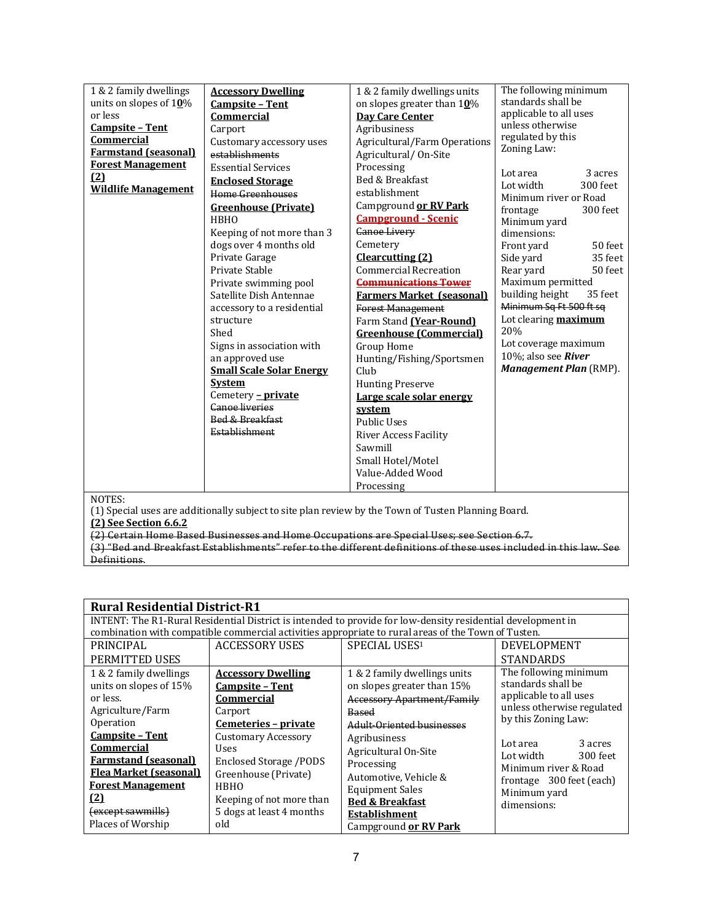| 1 & 2 family dwellings<br>units on slopes of 10%<br>or less<br><b>Campsite - Tent</b><br><b>Commercial</b><br><b>Farmstand (seasonal)</b><br><b>Forest Management</b><br>(2) | <b>Accessory Dwelling</b><br><b>Campsite - Tent</b><br><b>Commercial</b><br>Carport<br>Customary accessory uses<br>establishments<br><b>Essential Services</b><br><b>Enclosed Storage</b>                                                                                                                                                                                                                                                                                  | 1 & 2 family dwellings units<br>on slopes greater than $10\%$<br>Day Care Center<br>Agribusiness<br>Agricultural/Farm Operations<br>Agricultural/On-Site<br>Processing<br>Bed & Breakfast                                                                                                                                                                                                                                                                                                                                                                               | The following minimum<br>standards shall be<br>applicable to all uses<br>unless otherwise<br>regulated by this<br>Zoning Law:<br>3 acres<br>Lot area<br>300 feet<br>Lot width                                                                                                                                                                      |
|------------------------------------------------------------------------------------------------------------------------------------------------------------------------------|----------------------------------------------------------------------------------------------------------------------------------------------------------------------------------------------------------------------------------------------------------------------------------------------------------------------------------------------------------------------------------------------------------------------------------------------------------------------------|-------------------------------------------------------------------------------------------------------------------------------------------------------------------------------------------------------------------------------------------------------------------------------------------------------------------------------------------------------------------------------------------------------------------------------------------------------------------------------------------------------------------------------------------------------------------------|----------------------------------------------------------------------------------------------------------------------------------------------------------------------------------------------------------------------------------------------------------------------------------------------------------------------------------------------------|
| <b>Wildlife Management</b>                                                                                                                                                   | Home Greenhouses<br><b>Greenhouse</b> (Private)<br><b>HBHO</b><br>Keeping of not more than 3<br>dogs over 4 months old<br>Private Garage<br>Private Stable<br>Private swimming pool<br>Satellite Dish Antennae<br>accessory to a residential<br>structure<br>Shed<br>Signs in association with<br>an approved use<br><b>Small Scale Solar Energy</b><br><b>System</b><br>Cemetery - private<br><b>Ganoe liveries</b><br><b>Bed &amp; Breakfast</b><br><b>Establishment</b> | establishment<br>Campground or RV Park<br><b>Campground - Scenic</b><br><b>Ganoe Livery</b><br>Cemetery<br>Clearcutting (2)<br>Commercial Recreation<br><b>Communications Tower</b><br><b>Farmers Market (seasonal)</b><br><b>Forest Management</b><br>Farm Stand (Year-Round)<br><b>Greenhouse (Commercial)</b><br>Group Home<br>Hunting/Fishing/Sportsmen<br>Cl <sub>u</sub><br><b>Hunting Preserve</b><br>Large scale solar energy<br>system<br><b>Public Uses</b><br><b>River Access Facility</b><br>Sawmill<br>Small Hotel/Motel<br>Value-Added Wood<br>Processing | Minimum river or Road<br>300 feet<br>frontage<br>Minimum yard<br>dimensions:<br>Front yard<br>50 feet<br>35 feet<br>Side yard<br>Rear yard<br>50 feet<br>Maximum permitted<br>building height<br>35 feet<br>Minimum Sq Ft 500 ft sq<br>Lot clearing maximum<br>20%<br>Lot coverage maximum<br>10%; also see River<br><b>Management Plan (RMP).</b> |

NOTES:

(1) Special uses are additionally subject to site plan review by the Town of Tusten Planning Board.

**(2) See Section 6.6.2**

(2) Certain Home Based Businesses and Home Occupations are Special Uses; see Section 6.7.

|                                                                                                                                                                                                                                                                                                  | <b>Rural Residential District-R1</b>                                                                                                                                                                                                                                              |                                                                                                                                                                                                                                                                                                                               |                                                                                                                                                                                                                                                               |  |
|--------------------------------------------------------------------------------------------------------------------------------------------------------------------------------------------------------------------------------------------------------------------------------------------------|-----------------------------------------------------------------------------------------------------------------------------------------------------------------------------------------------------------------------------------------------------------------------------------|-------------------------------------------------------------------------------------------------------------------------------------------------------------------------------------------------------------------------------------------------------------------------------------------------------------------------------|---------------------------------------------------------------------------------------------------------------------------------------------------------------------------------------------------------------------------------------------------------------|--|
|                                                                                                                                                                                                                                                                                                  |                                                                                                                                                                                                                                                                                   | INTENT: The R1-Rural Residential District is intended to provide for low-density residential development in<br>combination with compatible commercial activities appropriate to rural areas of the Town of Tusten.                                                                                                            |                                                                                                                                                                                                                                                               |  |
| PRINCIPAL<br>PERMITTED USES                                                                                                                                                                                                                                                                      | ACCESSORY USES                                                                                                                                                                                                                                                                    | SPECIAL USES <sup>1</sup>                                                                                                                                                                                                                                                                                                     | DEVELOPMENT<br><b>STANDARDS</b>                                                                                                                                                                                                                               |  |
| 1 & 2 family dwellings<br>units on slopes of 15%<br>or less.<br>Agriculture/Farm<br>Operation<br><b>Campsite - Tent</b><br><b>Commercial</b><br><b>Farmstand (seasonal)</b><br><b>Flea Market (seasonal)</b><br><b>Forest Management</b><br><u>(2)</u><br>(except sawmills)<br>Places of Worship | <b>Accessory Dwelling</b><br><b>Campsite - Tent</b><br><b>Commercial</b><br>Carport<br>Cemeteries - private<br>Customary Accessory<br><b>Uses</b><br>Enclosed Storage /PODS<br>Greenhouse (Private)<br><b>HBHO</b><br>Keeping of not more than<br>5 dogs at least 4 months<br>old | 1 & 2 family dwellings units<br>on slopes greater than 15%<br><b>Accessory Apartment/Family</b><br>Based<br>Adult-Oriented businesses<br>Agribusiness<br>Agricultural On-Site<br>Processing<br>Automotive, Vehicle &<br><b>Equipment Sales</b><br><b>Bed &amp; Breakfast</b><br><b>Establishment</b><br>Campground or RV Park | The following minimum<br>standards shall be<br>applicable to all uses<br>unless otherwise regulated<br>by this Zoning Law:<br>3 acres<br>Lot area<br>Lot width<br>300 feet<br>Minimum river & Road<br>frontage 300 feet (each)<br>Minimum yard<br>dimensions: |  |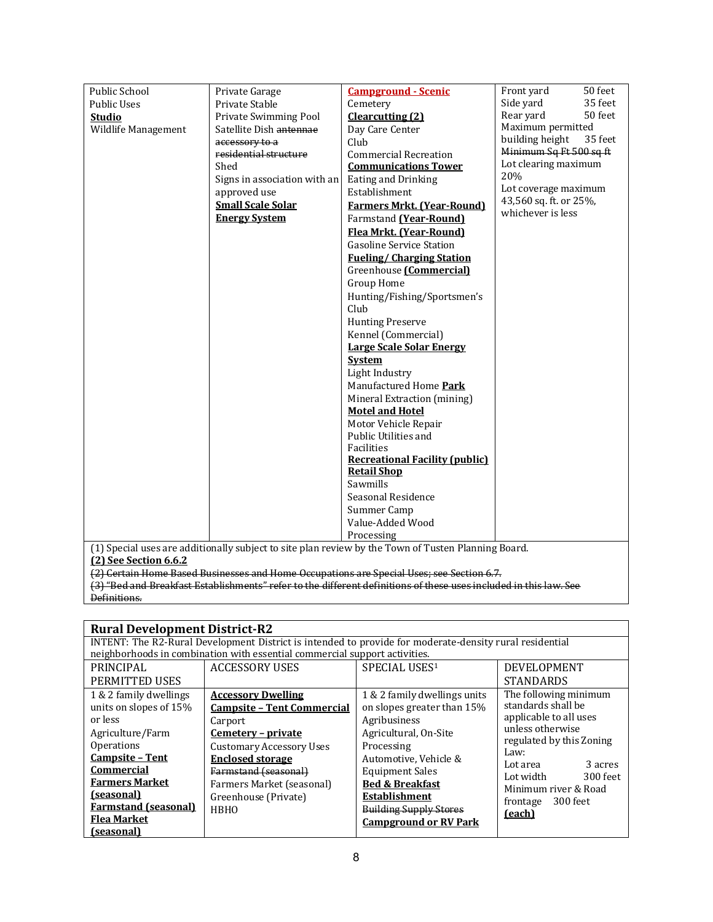| Public School         | Private Garage               | <b>Campground - Scenic</b>                                                                          | Front yard<br>50 feet      |
|-----------------------|------------------------------|-----------------------------------------------------------------------------------------------------|----------------------------|
| <b>Public Uses</b>    | Private Stable               | Cemetery                                                                                            | Side yard<br>35 feet       |
| <b>Studio</b>         | Private Swimming Pool        | Clearcutting (2)                                                                                    | Rear yard<br>50 feet       |
| Wildlife Management   | Satellite Dish antennae      | Day Care Center                                                                                     | Maximum permitted          |
|                       | accessory to a               | Club                                                                                                | building height<br>35 feet |
|                       | residential structure        | <b>Commercial Recreation</b>                                                                        | Minimum Sq Ft 500 sq ft    |
|                       | Shed                         | <b>Communications Tower</b>                                                                         | Lot clearing maximum       |
|                       | Signs in association with an | Eating and Drinking                                                                                 | 20%                        |
|                       | approved use                 | Establishment                                                                                       | Lot coverage maximum       |
|                       | <b>Small Scale Solar</b>     | <b>Farmers Mrkt. (Year-Round)</b>                                                                   | 43,560 sq. ft. or 25%,     |
|                       | <b>Energy System</b>         | Farmstand (Year-Round)                                                                              | whichever is less          |
|                       |                              | Flea Mrkt. (Year-Round)                                                                             |                            |
|                       |                              | <b>Gasoline Service Station</b>                                                                     |                            |
|                       |                              | <b>Fueling/Charging Station</b>                                                                     |                            |
|                       |                              | Greenhouse [Commercial]                                                                             |                            |
|                       |                              | Group Home                                                                                          |                            |
|                       |                              | Hunting/Fishing/Sportsmen's                                                                         |                            |
|                       |                              | Club                                                                                                |                            |
|                       |                              | <b>Hunting Preserve</b>                                                                             |                            |
|                       |                              | Kennel (Commercial)                                                                                 |                            |
|                       |                              | <b>Large Scale Solar Energy</b>                                                                     |                            |
|                       |                              | <b>System</b>                                                                                       |                            |
|                       |                              | Light Industry                                                                                      |                            |
|                       |                              | Manufactured Home Park                                                                              |                            |
|                       |                              | Mineral Extraction (mining)                                                                         |                            |
|                       |                              | <b>Motel and Hotel</b>                                                                              |                            |
|                       |                              | Motor Vehicle Repair                                                                                |                            |
|                       |                              | Public Utilities and                                                                                |                            |
|                       |                              | Facilities                                                                                          |                            |
|                       |                              | <b>Recreational Facility (public)</b>                                                               |                            |
|                       |                              | <b>Retail Shop</b><br>Sawmills                                                                      |                            |
|                       |                              | Seasonal Residence                                                                                  |                            |
|                       |                              | Summer Camp                                                                                         |                            |
|                       |                              | Value-Added Wood                                                                                    |                            |
|                       |                              | Processing                                                                                          |                            |
|                       |                              | (1) Special uses are additionally subject to site plan review by the Town of Tusten Planning Board. |                            |
| (2) See Section 6.6.2 |                              |                                                                                                     |                            |

(2) Certain Home Based Businesses and Home Occupations are Special Uses; see Section 6.7.

|                             | <b>Rural Development District-R2</b>                                                                    |                               |                                  |  |
|-----------------------------|---------------------------------------------------------------------------------------------------------|-------------------------------|----------------------------------|--|
|                             | INTENT: The R2-Rural Development District is intended to provide for moderate-density rural residential |                               |                                  |  |
|                             | neighborhoods in combination with essential commercial support activities.                              |                               |                                  |  |
| PRINCIPAL                   | <b>ACCESSORY USES</b>                                                                                   | SPECIAL USES <sup>1</sup>     | DEVELOPMENT                      |  |
| PERMITTED USES              |                                                                                                         |                               | <b>STANDARDS</b>                 |  |
| 1 & 2 family dwellings      | <b>Accessory Dwelling</b>                                                                               | 1 & 2 family dwellings units  | The following minimum            |  |
| units on slopes of 15%      | <b>Campsite - Tent Commercial</b>                                                                       | on slopes greater than 15%    | standards shall be               |  |
| or less                     | Carport                                                                                                 | Agribusiness                  | applicable to all uses           |  |
| Agriculture/Farm            | Cemetery - private                                                                                      | Agricultural, On-Site         | unless otherwise                 |  |
| <b>Operations</b>           | <b>Customary Accessory Uses</b>                                                                         | Processing                    | regulated by this Zoning<br>Law: |  |
| <b>Campsite - Tent</b>      | <b>Enclosed storage</b>                                                                                 | Automotive, Vehicle &         | 3 acres<br>Lot area              |  |
| <b>Commercial</b>           | Farmstand (seasonal)                                                                                    | <b>Equipment Sales</b>        | 300 feet<br>Lot width            |  |
| <b>Farmers Market</b>       | Farmers Market (seasonal)                                                                               | <b>Bed &amp; Breakfast</b>    | Minimum river & Road             |  |
| (seasonal)                  | Greenhouse (Private)                                                                                    | <b>Establishment</b>          | frontage 300 feet                |  |
| <b>Farmstand (seasonal)</b> | <b>HBHO</b>                                                                                             | <b>Building Supply Stores</b> |                                  |  |
| <b>Flea Market</b>          |                                                                                                         | <b>Campground or RV Park</b>  | (each)                           |  |
| (seasonal)                  |                                                                                                         |                               |                                  |  |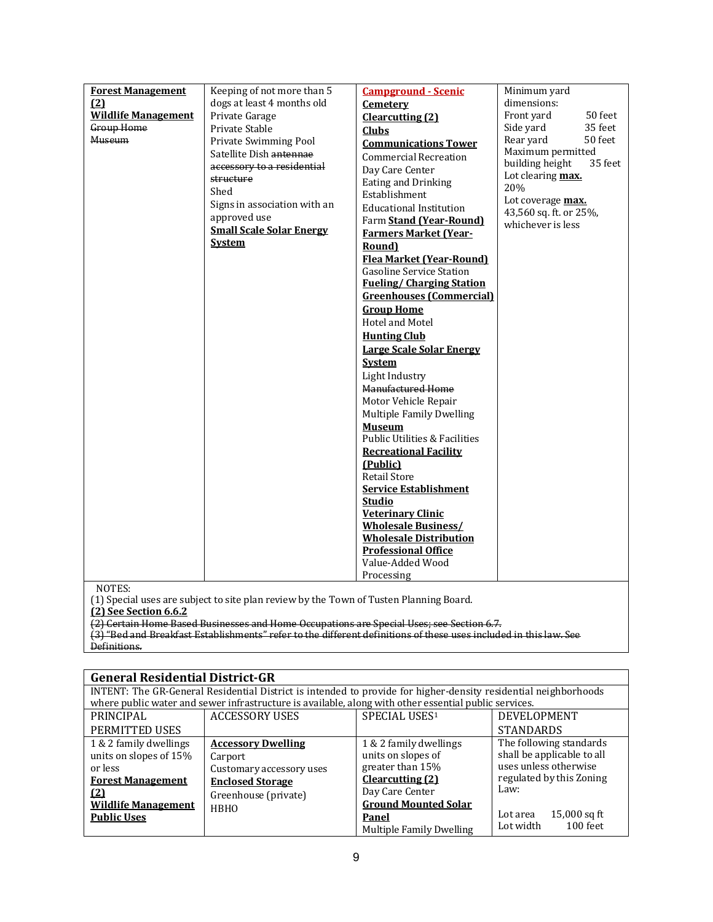| <b>Forest Management</b>   | Keeping of not more than 5      | <b>Campground - Scenic</b>                | Minimum yard               |
|----------------------------|---------------------------------|-------------------------------------------|----------------------------|
| (2)                        | dogs at least 4 months old      | Cemetery                                  | dimensions:                |
| <b>Wildlife Management</b> | Private Garage                  | <b>Clearcutting (2)</b>                   | Front yard<br>50 feet      |
| Group Home                 | Private Stable                  |                                           | Side yard<br>35 feet       |
| Museum                     | Private Swimming Pool           | <b>Clubs</b>                              | Rear yard<br>50 feet       |
|                            | Satellite Dish antennae         | <b>Communications Tower</b>               | Maximum permitted          |
|                            | accessory to a residential      | <b>Commercial Recreation</b>              | building height<br>35 feet |
|                            | structure                       | Day Care Center                           | Lot clearing max.          |
|                            | Shed                            | Eating and Drinking<br>Establishment      | 20%                        |
|                            | Signs in association with an    | <b>Educational Institution</b>            | Lot coverage max.          |
|                            | approved use                    |                                           | 43,560 sq. ft. or 25%,     |
|                            | <b>Small Scale Solar Energy</b> | Farm Stand (Year-Round)                   | whichever is less          |
|                            | <b>System</b>                   | <b>Farmers Market (Year-</b>              |                            |
|                            |                                 | Round)<br><b>Flea Market (Year-Round)</b> |                            |
|                            |                                 | <b>Gasoline Service Station</b>           |                            |
|                            |                                 | <b>Fueling/Charging Station</b>           |                            |
|                            |                                 | <b>Greenhouses (Commercial)</b>           |                            |
|                            |                                 | <b>Group Home</b>                         |                            |
|                            |                                 | Hotel and Motel                           |                            |
|                            |                                 | <b>Hunting Club</b>                       |                            |
|                            |                                 | <b>Large Scale Solar Energy</b>           |                            |
|                            |                                 | <b>System</b>                             |                            |
|                            |                                 | Light Industry                            |                            |
|                            |                                 | Manufactured Home                         |                            |
|                            |                                 | Motor Vehicle Repair                      |                            |
|                            |                                 | Multiple Family Dwelling                  |                            |
|                            |                                 | <b>Museum</b>                             |                            |
|                            |                                 | <b>Public Utilities &amp; Facilities</b>  |                            |
|                            |                                 | <b>Recreational Facility</b>              |                            |
|                            |                                 | (Public)                                  |                            |
|                            |                                 | <b>Retail Store</b>                       |                            |
|                            |                                 | <b>Service Establishment</b>              |                            |
|                            |                                 | <b>Studio</b>                             |                            |
|                            |                                 | <b>Veterinary Clinic</b>                  |                            |
|                            |                                 | <b>Wholesale Business/</b>                |                            |
|                            |                                 | <b>Wholesale Distribution</b>             |                            |
|                            |                                 | <b>Professional Office</b>                |                            |
|                            |                                 | Value-Added Wood                          |                            |
|                            |                                 | Processing                                |                            |
| NOTES:                     |                                 |                                           |                            |

NOTES:

(1) Special uses are subject to site plan review by the Town of Tusten Planning Board.

**(2) See Section 6.6.2**

(2) Certain Home Based Businesses and Home Occupations are Special Uses; see Section 6.7.

| <b>General Residential District-GR</b> |                                                                                                                 |                             |                            |
|----------------------------------------|-----------------------------------------------------------------------------------------------------------------|-----------------------------|----------------------------|
|                                        | INTENT: The GR-General Residential District is intended to provide for higher-density residential neighborhoods |                             |                            |
|                                        | where public water and sewer infrastructure is available, along with other essential public services.           |                             |                            |
| PRINCIPAL                              | <b>ACCESSORY USES</b>                                                                                           | SPECIAL USES1               | DEVELOPMENT                |
| PERMITTED USES                         |                                                                                                                 |                             | <b>STANDARDS</b>           |
| 1 & 2 family dwellings                 | <b>Accessory Dwelling</b>                                                                                       | 1 & 2 family dwellings      | The following standards    |
| units on slopes of 15%                 | Carport                                                                                                         | units on slopes of          | shall be applicable to all |
| or less                                | Customary accessory uses                                                                                        | greater than 15%            | uses unless otherwise      |
| <b>Forest Management</b>               | <b>Enclosed Storage</b>                                                                                         | <b>Clearcutting</b> (2)     | regulated by this Zoning   |
| (2)                                    | Greenhouse (private)                                                                                            | Day Care Center             | Law:                       |
| <b>Wildlife Management</b>             | <b>HBHO</b>                                                                                                     | <b>Ground Mounted Solar</b> |                            |
| <b>Public Uses</b>                     |                                                                                                                 | Panel                       | 15,000 sq ft<br>Lot area   |
|                                        |                                                                                                                 | Multiple Family Dwelling    | $100$ feet<br>Lot width    |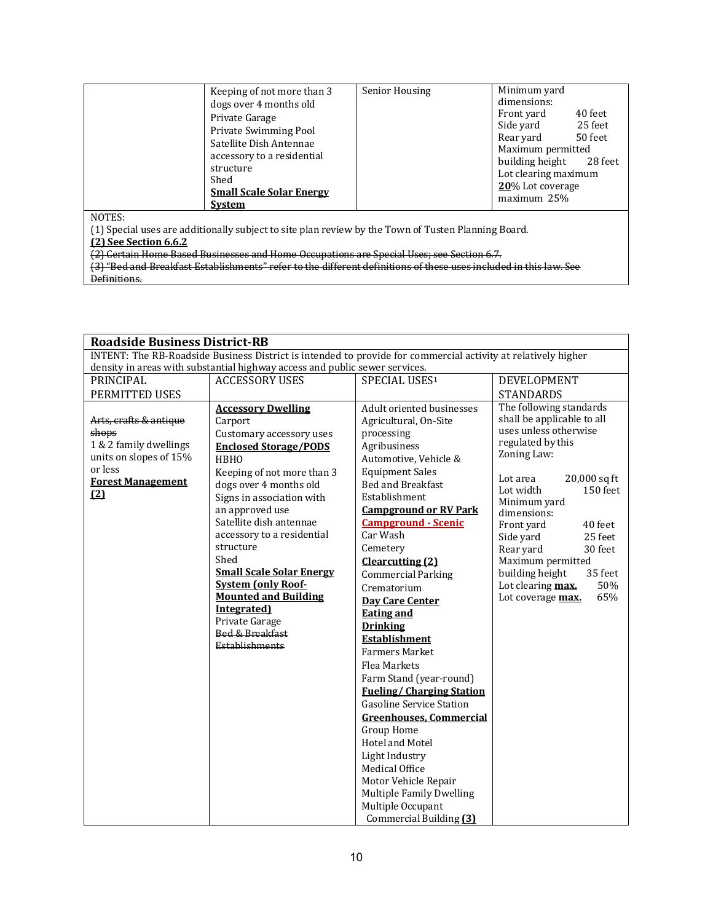|        | Keeping of not more than 3<br>dogs over 4 months old<br>Private Garage<br>Private Swimming Pool<br>Satellite Dish Antennae<br>accessory to a residential<br>structure<br>Shed<br><b>Small Scale Solar Energy</b><br><b>System</b> | Senior Housing | Minimum yard<br>dimensions:<br>40 feet<br>Front yard<br>25 feet<br>Side yard<br>50 feet<br>Rear vard<br>Maximum permitted<br>building height 28 feet<br>Lot clearing maximum<br>20% Lot coverage<br>maximum 25% |
|--------|-----------------------------------------------------------------------------------------------------------------------------------------------------------------------------------------------------------------------------------|----------------|-----------------------------------------------------------------------------------------------------------------------------------------------------------------------------------------------------------------|
| NOTES: |                                                                                                                                                                                                                                   |                |                                                                                                                                                                                                                 |

(1) Special uses are additionally subject to site plan review by the Town of Tusten Planning Board.

**(2) See Section 6.6.2**

(2) Certain Home Based Businesses and Home Occupations are Special Uses; see Section 6.7.

| <b>Roadside Business District-RB</b>                                 |                                                                                                                                                                                                                                                                                                                                                                                          |                                                                                                                                                                                                                                                                                                                                                                                                                                                                                                                                                                                                                                                                               |                                                                                                                                                                                                                                                                                     |  |
|----------------------------------------------------------------------|------------------------------------------------------------------------------------------------------------------------------------------------------------------------------------------------------------------------------------------------------------------------------------------------------------------------------------------------------------------------------------------|-------------------------------------------------------------------------------------------------------------------------------------------------------------------------------------------------------------------------------------------------------------------------------------------------------------------------------------------------------------------------------------------------------------------------------------------------------------------------------------------------------------------------------------------------------------------------------------------------------------------------------------------------------------------------------|-------------------------------------------------------------------------------------------------------------------------------------------------------------------------------------------------------------------------------------------------------------------------------------|--|
|                                                                      | INTENT: The RB-Roadside Business District is intended to provide for commercial activity at relatively higher                                                                                                                                                                                                                                                                            |                                                                                                                                                                                                                                                                                                                                                                                                                                                                                                                                                                                                                                                                               |                                                                                                                                                                                                                                                                                     |  |
|                                                                      | density in areas with substantial highway access and public sewer services.                                                                                                                                                                                                                                                                                                              |                                                                                                                                                                                                                                                                                                                                                                                                                                                                                                                                                                                                                                                                               |                                                                                                                                                                                                                                                                                     |  |
| PRINCIPAL                                                            | <b>ACCESSORY USES</b>                                                                                                                                                                                                                                                                                                                                                                    | SPECIAL USES1                                                                                                                                                                                                                                                                                                                                                                                                                                                                                                                                                                                                                                                                 | <b>DEVELOPMENT</b>                                                                                                                                                                                                                                                                  |  |
| PERMITTED USES                                                       |                                                                                                                                                                                                                                                                                                                                                                                          |                                                                                                                                                                                                                                                                                                                                                                                                                                                                                                                                                                                                                                                                               | <b>STANDARDS</b>                                                                                                                                                                                                                                                                    |  |
| Arts, crafts & antique<br>shops<br>1 & 2 family dwellings            | <b>Accessory Dwelling</b><br>Carport<br>Customary accessory uses<br><b>Enclosed Storage/PODS</b>                                                                                                                                                                                                                                                                                         | Adult oriented businesses<br>Agricultural, On-Site<br>processing<br>Agribusiness                                                                                                                                                                                                                                                                                                                                                                                                                                                                                                                                                                                              | The following standards<br>shall be applicable to all<br>uses unless otherwise<br>regulated by this                                                                                                                                                                                 |  |
| units on slopes of 15%<br>or less<br><b>Forest Management</b><br>(2) | <b>HBHO</b><br>Keeping of not more than 3<br>dogs over 4 months old<br>Signs in association with<br>an approved use<br>Satellite dish antennae<br>accessory to a residential<br>structure<br>Shed<br><b>Small Scale Solar Energy</b><br><b>System (only Roof-</b><br><b>Mounted and Building</b><br>Integrated)<br>Private Garage<br><b>Bed &amp; Breakfast</b><br><b>Establishments</b> | Automotive, Vehicle &<br><b>Equipment Sales</b><br>Bed and Breakfast<br>Establishment<br><b>Campground or RV Park</b><br><b>Campground - Scenic</b><br>Car Wash<br>Cemetery<br>Clearcutting (2)<br><b>Commercial Parking</b><br>Crematorium<br><b>Day Care Center</b><br><b>Eating and</b><br><b>Drinking</b><br><b>Establishment</b><br><b>Farmers Market</b><br><b>Flea Markets</b><br>Farm Stand (year-round)<br><b>Fueling/Charging Station</b><br><b>Gasoline Service Station</b><br><b>Greenhouses, Commercial</b><br>Group Home<br>Hotel and Motel<br>Light Industry<br>Medical Office<br>Motor Vehicle Repair<br><b>Multiple Family Dwelling</b><br>Multiple Occupant | Zoning Law:<br>20,000 sq ft<br>Lot area<br>150 feet<br>Lot width<br>Minimum yard<br>dimensions:<br>40 feet<br>Front yard<br>25 feet<br>Side yard<br>Rear yard<br>30 feet<br>Maximum permitted<br>35 feet<br>building height<br>Lot clearing max.<br>50%<br>65%<br>Lot coverage max. |  |
|                                                                      |                                                                                                                                                                                                                                                                                                                                                                                          | Commercial Building (3)                                                                                                                                                                                                                                                                                                                                                                                                                                                                                                                                                                                                                                                       |                                                                                                                                                                                                                                                                                     |  |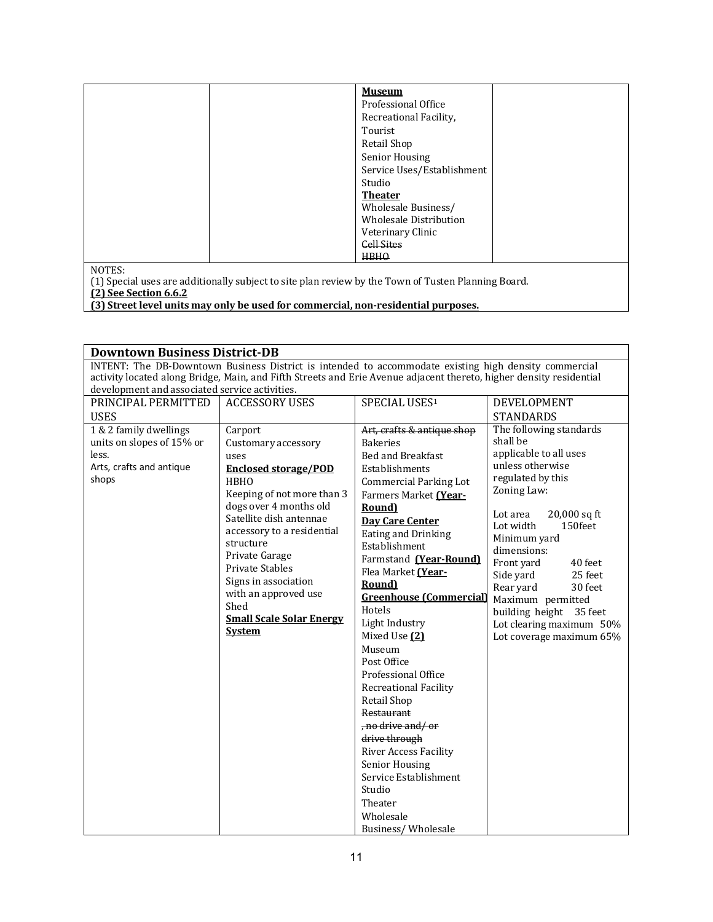| <b>Museum</b>                 |  |
|-------------------------------|--|
| Professional Office           |  |
| Recreational Facility,        |  |
| Tourist                       |  |
| Retail Shop                   |  |
| Senior Housing                |  |
| Service Uses/Establishment    |  |
| Studio                        |  |
| <b>Theater</b>                |  |
| Wholesale Business/           |  |
| <b>Wholesale Distribution</b> |  |
| Veterinary Clinic             |  |
| <b>Cell Sites</b>             |  |
| <b>HBHO</b>                   |  |

NOTES:

(1) Special uses are additionally subject to site plan review by the Town of Tusten Planning Board.

**(2) See Section 6.6.2**

**(3) Street level units may only be used for commercial, non-residential purposes.**

# **Downtown Business District-DB** INTENT: The DB-Downtown Business District is intended to accommodate existing high density commercial activity located along Bridge, Main, and Fifth Streets and Erie Avenue adjacent thereto, higher density residential development and associated service activities. PRINCIPAL PERMITTED | ACCESSORY USES | SPECIAL USES<sup>1</sup> | DEVELOPMENT

| <b>USES</b>                                                                                       |                                                                                                                                                                                                                                                                                                                                                                            |                                                                                                                                                                                                                                                                                                                                                                                                                                                                                                                                                                                                                                            | <b>STANDARDS</b>                                                                                                                                                                                                                                                                                                                                                                            |
|---------------------------------------------------------------------------------------------------|----------------------------------------------------------------------------------------------------------------------------------------------------------------------------------------------------------------------------------------------------------------------------------------------------------------------------------------------------------------------------|--------------------------------------------------------------------------------------------------------------------------------------------------------------------------------------------------------------------------------------------------------------------------------------------------------------------------------------------------------------------------------------------------------------------------------------------------------------------------------------------------------------------------------------------------------------------------------------------------------------------------------------------|---------------------------------------------------------------------------------------------------------------------------------------------------------------------------------------------------------------------------------------------------------------------------------------------------------------------------------------------------------------------------------------------|
| 1 & 2 family dwellings<br>units on slopes of 15% or<br>less.<br>Arts, crafts and antique<br>shops | Carport<br>Customary accessory<br>uses<br><b>Enclosed storage/POD</b><br><b>HBHO</b><br>Keeping of not more than 3<br>dogs over 4 months old<br>Satellite dish antennae<br>accessory to a residential<br>structure<br>Private Garage<br><b>Private Stables</b><br>Signs in association<br>with an approved use<br>Shed<br><b>Small Scale Solar Energy</b><br><b>System</b> | Art, crafts & antique shop<br><b>Bakeries</b><br>Bed and Breakfast<br>Establishments<br><b>Commercial Parking Lot</b><br>Farmers Market (Year-<br>Round)<br><b>Day Care Center</b><br>Eating and Drinking<br>Establishment<br>Farmstand (Year-Round)<br>Flea Market (Year-<br>Round)<br><b>Greenhouse (Commercial)</b><br>Hotels<br>Light Industry<br>Mixed Use (2)<br>Museum<br>Post Office<br>Professional Office<br><b>Recreational Facility</b><br><b>Retail Shop</b><br>Restaurant<br>, no drive and/or<br>drive through<br><b>River Access Facility</b><br>Senior Housing<br>Service Establishment<br>Studio<br>Theater<br>Wholesale | The following standards<br>shall be<br>applicable to all uses<br>unless otherwise<br>regulated by this<br>Zoning Law:<br>$20,000$ sq ft<br>Lot area<br>150feet<br>Lot width<br>Minimum yard<br>dimensions:<br>Front yard<br>40 feet<br>Side yard<br>25 feet<br>30 feet<br>Rear yard<br>Maximum permitted<br>building height 35 feet<br>Lot clearing maximum 50%<br>Lot coverage maximum 65% |
|                                                                                                   |                                                                                                                                                                                                                                                                                                                                                                            |                                                                                                                                                                                                                                                                                                                                                                                                                                                                                                                                                                                                                                            |                                                                                                                                                                                                                                                                                                                                                                                             |
|                                                                                                   |                                                                                                                                                                                                                                                                                                                                                                            | Business/Wholesale                                                                                                                                                                                                                                                                                                                                                                                                                                                                                                                                                                                                                         |                                                                                                                                                                                                                                                                                                                                                                                             |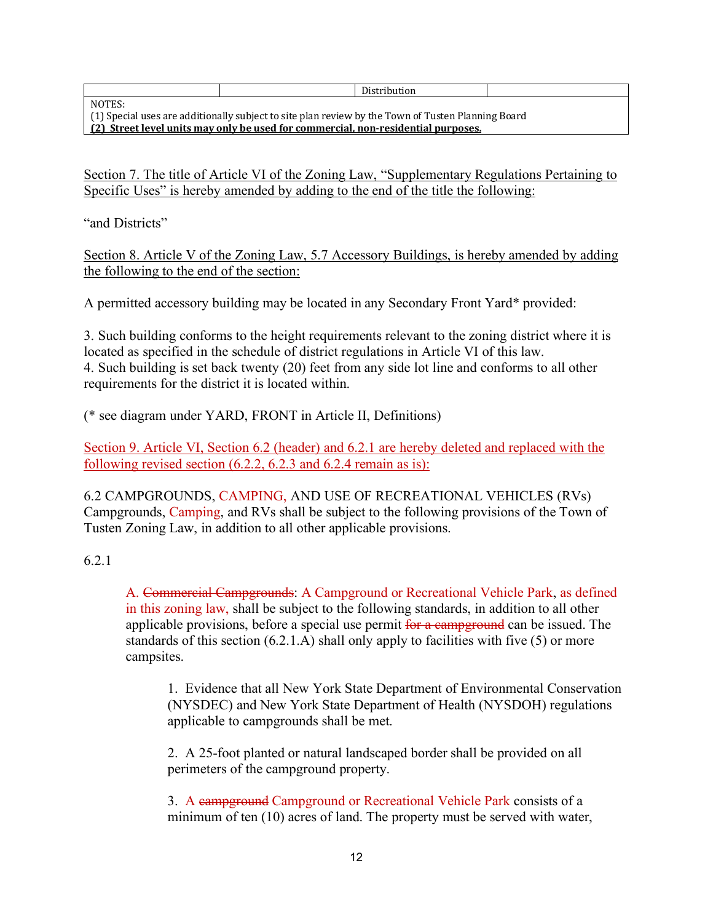NOTES:

Distribution

(1) Special uses are additionally subject to site plan review by the Town of Tusten Planning Board **(2) Street level units may only be used for commercial, non-residential purposes.**

Section 7. The title of Article VI of the Zoning Law, "Supplementary Regulations Pertaining to Specific Uses" is hereby amended by adding to the end of the title the following:

"and Districts"

Section 8. Article V of the Zoning Law, 5.7 Accessory Buildings, is hereby amended by adding the following to the end of the section:

A permitted accessory building may be located in any Secondary Front Yard\* provided:

3. Such building conforms to the height requirements relevant to the zoning district where it is located as specified in the schedule of district regulations in Article VI of this law. 4. Such building is set back twenty (20) feet from any side lot line and conforms to all other requirements for the district it is located within.

(\* see diagram under YARD, FRONT in Article II, Definitions)

Section 9. Article VI, Section 6.2 (header) and 6.2.1 are hereby deleted and replaced with the following revised section (6.2.2, 6.2.3 and 6.2.4 remain as is):

6.2 CAMPGROUNDS, CAMPING, AND USE OF RECREATIONAL VEHICLES (RVs) Campgrounds, Camping, and RVs shall be subject to the following provisions of the Town of Tusten Zoning Law, in addition to all other applicable provisions.

#### 6.2.1

A. Commercial Campgrounds: A Campground or Recreational Vehicle Park, as defined in this zoning law, shall be subject to the following standards, in addition to all other applicable provisions, before a special use permit for a campground can be issued. The standards of this section (6.2.1.A) shall only apply to facilities with five (5) or more campsites.

1. Evidence that all New York State Department of Environmental Conservation (NYSDEC) and New York State Department of Health (NYSDOH) regulations applicable to campgrounds shall be met.

2. A 25-foot planted or natural landscaped border shall be provided on all perimeters of the campground property.

3. A campground Campground or Recreational Vehicle Park consists of a minimum of ten (10) acres of land. The property must be served with water,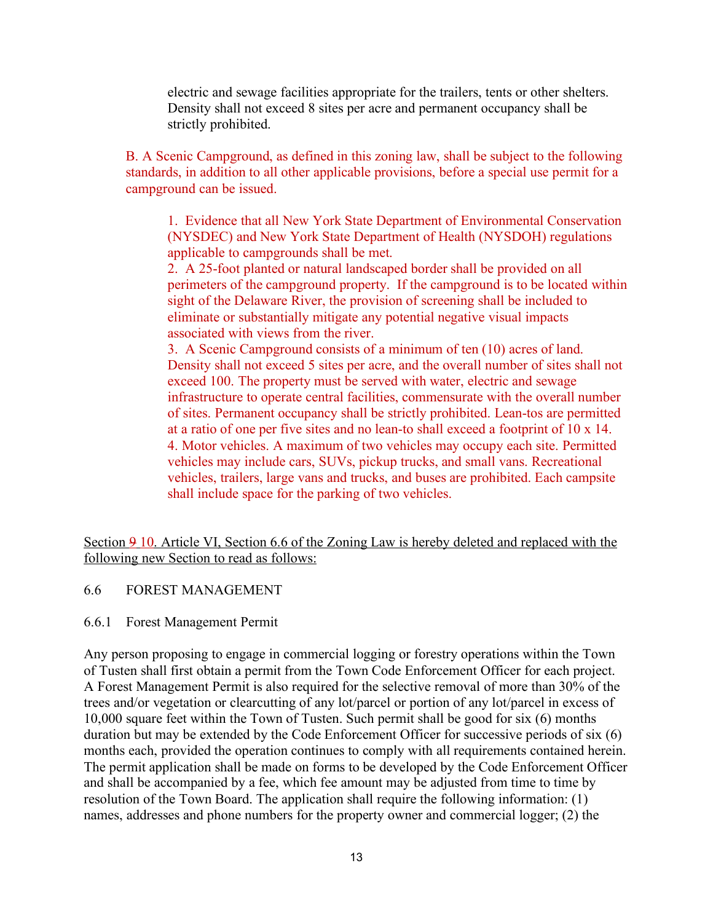electric and sewage facilities appropriate for the trailers, tents or other shelters. Density shall not exceed 8 sites per acre and permanent occupancy shall be strictly prohibited.

B. A Scenic Campground, as defined in this zoning law, shall be subject to the following standards, in addition to all other applicable provisions, before a special use permit for a campground can be issued.

1. Evidence that all New York State Department of Environmental Conservation (NYSDEC) and New York State Department of Health (NYSDOH) regulations applicable to campgrounds shall be met.

2. A 25-foot planted or natural landscaped border shall be provided on all perimeters of the campground property. If the campground is to be located within sight of the Delaware River, the provision of screening shall be included to eliminate or substantially mitigate any potential negative visual impacts associated with views from the river.

3. A Scenic Campground consists of a minimum of ten (10) acres of land. Density shall not exceed 5 sites per acre, and the overall number of sites shall not exceed 100. The property must be served with water, electric and sewage infrastructure to operate central facilities, commensurate with the overall number of sites. Permanent occupancy shall be strictly prohibited. Lean-tos are permitted at a ratio of one per five sites and no lean-to shall exceed a footprint of 10 x 14. 4. Motor vehicles. A maximum of two vehicles may occupy each site. Permitted vehicles may include cars, SUVs, pickup trucks, and small vans. Recreational vehicles, trailers, large vans and trucks, and buses are prohibited. Each campsite shall include space for the parking of two vehicles.

Section 9 10. Article VI, Section 6.6 of the Zoning Law is hereby deleted and replaced with the following new Section to read as follows:

#### 6.6 FOREST MANAGEMENT

#### 6.6.1 Forest Management Permit

Any person proposing to engage in commercial logging or forestry operations within the Town of Tusten shall first obtain a permit from the Town Code Enforcement Officer for each project. A Forest Management Permit is also required for the selective removal of more than 30% of the trees and/or vegetation or clearcutting of any lot/parcel or portion of any lot/parcel in excess of 10,000 square feet within the Town of Tusten. Such permit shall be good for six (6) months duration but may be extended by the Code Enforcement Officer for successive periods of six (6) months each, provided the operation continues to comply with all requirements contained herein. The permit application shall be made on forms to be developed by the Code Enforcement Officer and shall be accompanied by a fee, which fee amount may be adjusted from time to time by resolution of the Town Board. The application shall require the following information: (1) names, addresses and phone numbers for the property owner and commercial logger; (2) the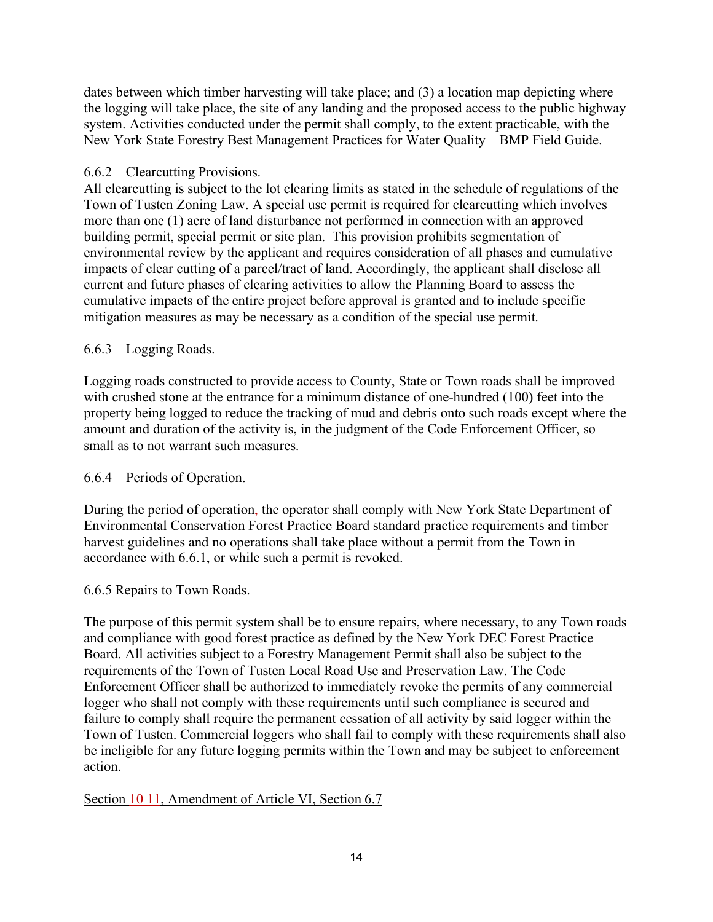dates between which timber harvesting will take place; and (3) a location map depicting where the logging will take place, the site of any landing and the proposed access to the public highway system. Activities conducted under the permit shall comply, to the extent practicable, with the New York State Forestry Best Management Practices for Water Quality – BMP Field Guide.

# 6.6.2 Clearcutting Provisions.

All clearcutting is subject to the lot clearing limits as stated in the schedule of regulations of the Town of Tusten Zoning Law. A special use permit is required for clearcutting which involves more than one (1) acre of land disturbance not performed in connection with an approved building permit, special permit or site plan. This provision prohibits segmentation of environmental review by the applicant and requires consideration of all phases and cumulative impacts of clear cutting of a parcel/tract of land. Accordingly, the applicant shall disclose all current and future phases of clearing activities to allow the Planning Board to assess the cumulative impacts of the entire project before approval is granted and to include specific mitigation measures as may be necessary as a condition of the special use permit.

# 6.6.3 Logging Roads.

Logging roads constructed to provide access to County, State or Town roads shall be improved with crushed stone at the entrance for a minimum distance of one-hundred (100) feet into the property being logged to reduce the tracking of mud and debris onto such roads except where the amount and duration of the activity is, in the judgment of the Code Enforcement Officer, so small as to not warrant such measures.

# 6.6.4 Periods of Operation.

During the period of operation, the operator shall comply with New York State Department of Environmental Conservation Forest Practice Board standard practice requirements and timber harvest guidelines and no operations shall take place without a permit from the Town in accordance with 6.6.1, or while such a permit is revoked.

# 6.6.5 Repairs to Town Roads.

The purpose of this permit system shall be to ensure repairs, where necessary, to any Town roads and compliance with good forest practice as defined by the New York DEC Forest Practice Board. All activities subject to a Forestry Management Permit shall also be subject to the requirements of the Town of Tusten Local Road Use and Preservation Law. The Code Enforcement Officer shall be authorized to immediately revoke the permits of any commercial logger who shall not comply with these requirements until such compliance is secured and failure to comply shall require the permanent cessation of all activity by said logger within the Town of Tusten. Commercial loggers who shall fail to comply with these requirements shall also be ineligible for any future logging permits within the Town and may be subject to enforcement action.

# Section  $\frac{10-11}{10}$ , Amendment of Article VI, Section 6.7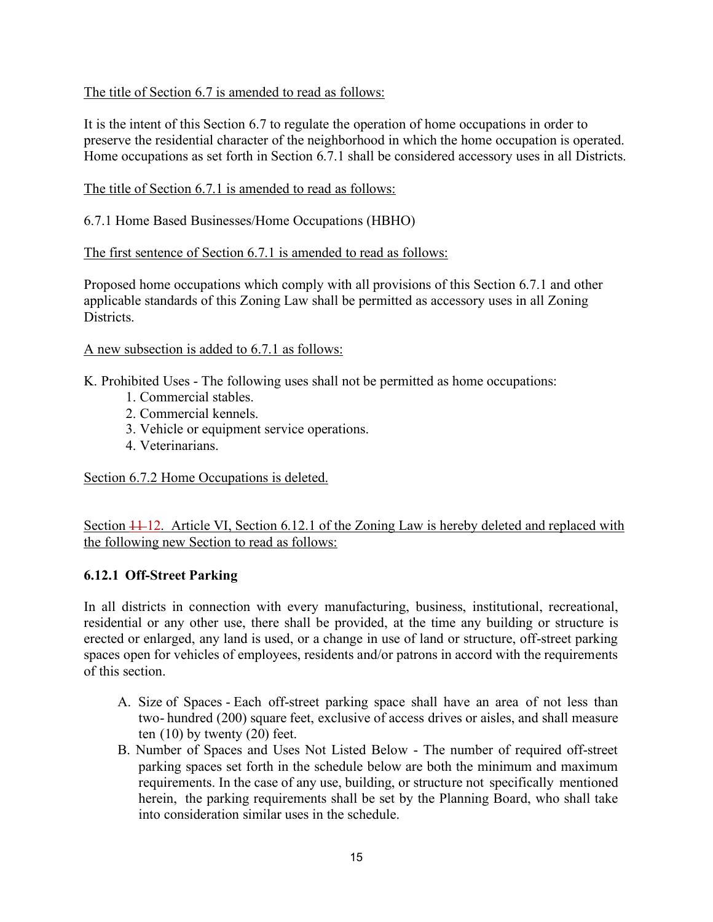The title of Section 6.7 is amended to read as follows:

It is the intent of this Section 6.7 to regulate the operation of home occupations in order to preserve the residential character of the neighborhood in which the home occupation is operated. Home occupations as set forth in Section 6.7.1 shall be considered accessory uses in all Districts.

The title of Section 6.7.1 is amended to read as follows:

6.7.1 Home Based Businesses/Home Occupations (HBHO)

The first sentence of Section 6.7.1 is amended to read as follows:

Proposed home occupations which comply with all provisions of this Section 6.7.1 and other applicable standards of this Zoning Law shall be permitted as accessory uses in all Zoning Districts.

#### A new subsection is added to 6.7.1 as follows:

K. Prohibited Uses - The following uses shall not be permitted as home occupations:

- 1. Commercial stables.
- 2. Commercial kennels.
- 3. Vehicle or equipment service operations.
- 4. Veterinarians.

Section 6.7.2 Home Occupations is deleted.

Section  $\frac{11}{12}$ . Article VI, Section 6.12.1 of the Zoning Law is hereby deleted and replaced with the following new Section to read as follows:

# **6.12.1 Off-Street Parking**

In all districts in connection with every manufacturing, business, institutional, recreational, residential or any other use, there shall be provided, at the time any building or structure is erected or enlarged, any land is used, or a change in use of land or structure, off-street parking spaces open for vehicles of employees, residents and/or patrons in accord with the requirements of this section.

- A. Size of Spaces Each off-street parking space shall have an area of not less than two- hundred (200) square feet, exclusive of access drives or aisles, and shall measure ten (10) by twenty (20) feet.
- B. Number of Spaces and Uses Not Listed Below The number of required off-street parking spaces set forth in the schedule below are both the minimum and maximum requirements. In the case of any use, building, or structure not specifically mentioned herein, the parking requirements shall be set by the Planning Board, who shall take into consideration similar uses in the schedule.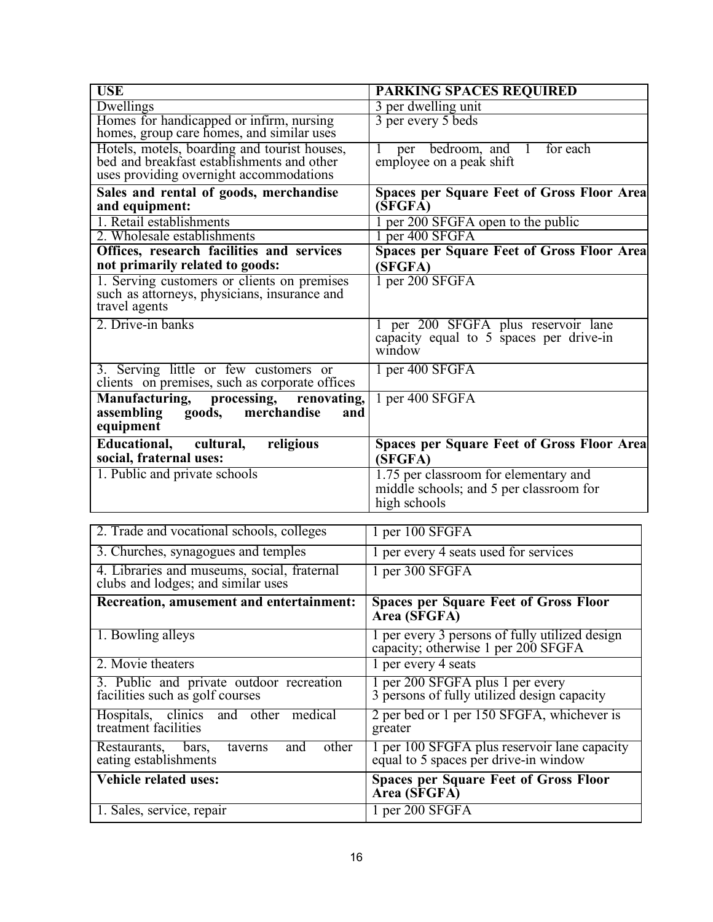| <b>USE</b>                                                                                                                            | PARKING SPACES REQUIRED                                                                          |
|---------------------------------------------------------------------------------------------------------------------------------------|--------------------------------------------------------------------------------------------------|
| Dwellings                                                                                                                             | 3 per dwelling unit                                                                              |
| Homes for handicapped or infirm, nursing<br>homes, group care homes, and similar uses                                                 | 3 per every 5 beds                                                                               |
| Hotels, motels, boarding and tourist houses,<br>bed and breakfast establishments and other<br>uses providing overnight accommodations | per bedroom, and 1<br>for each<br>employee on a peak shift                                       |
| Sales and rental of goods, merchandise<br>and equipment:                                                                              | <b>Spaces per Square Feet of Gross Floor Area</b><br>(SFGFA)                                     |
| 1. Retail establishments                                                                                                              | per 200 SFGFA open to the public                                                                 |
| 2. Wholesale establishments                                                                                                           | per 400 SFGFA                                                                                    |
| Offices, research facilities and services<br>not primarily related to goods:                                                          | <b>Spaces per Square Feet of Gross Floor Area</b><br>(SFGFA)                                     |
| 1. Serving customers or clients on premises<br>such as attorneys, physicians, insurance and<br>travel agents                          | 1 per 200 SFGFA                                                                                  |
| 2. Drive-in banks                                                                                                                     | 1 per 200 SFGFA plus reservoir lane<br>capacity equal to 5 spaces per drive-in<br>window         |
| 3. Serving little or few customers or<br>clients on premises, such as corporate offices                                               | 1 per 400 SFGFA                                                                                  |
| Manufacturing, processing, renovating,<br>assembling goods, merchandise<br>and<br>equipment                                           | 1 per 400 SFGFA                                                                                  |
| Educational, cultural,<br>religious<br>social, fraternal uses:                                                                        | <b>Spaces per Square Feet of Gross Floor Area</b><br>(SFGFA)                                     |
| 1. Public and private schools                                                                                                         | 1.75 per classroom for elementary and<br>middle schools; and 5 per classroom for<br>high schools |

| 2. Trade and vocational schools, colleges                                         | 1 per 100 SFGFA                                                                       |
|-----------------------------------------------------------------------------------|---------------------------------------------------------------------------------------|
| 3. Churches, synagogues and temples                                               | 1 per every 4 seats used for services                                                 |
| 4. Libraries and museums, social, fraternal<br>clubs and lodges; and similar uses | 1 per 300 SFGFA                                                                       |
| Recreation, amusement and entertainment:                                          | <b>Spaces per Square Feet of Gross Floor</b><br>Area (SFGFA)                          |
| 1. Bowling alleys                                                                 | 1 per every 3 persons of fully utilized design<br>capacity; otherwise 1 per 200 SFGFA |
| 2. Movie theaters                                                                 | 1 per every 4 seats                                                                   |
| 3. Public and private outdoor recreation<br>facilities such as golf courses       | 1 per 200 SFGFA plus 1 per every<br>3 persons of fully utilized design capacity       |
| Hospitals, clinics and other medical<br>treatment facilities                      | 2 per bed or 1 per 150 SFGFA, whichever is<br>greater                                 |
| other<br>Restaurants, bars,<br>and<br>taverns<br>eating establishments            | 1 per 100 SFGFA plus reservoir lane capacity<br>equal to 5 spaces per drive-in window |
| <b>Vehicle related uses:</b>                                                      | <b>Spaces per Square Feet of Gross Floor</b><br>Area (SFGFA)                          |
| 1. Sales, service, repair                                                         | $1$ per 200 SFGFA                                                                     |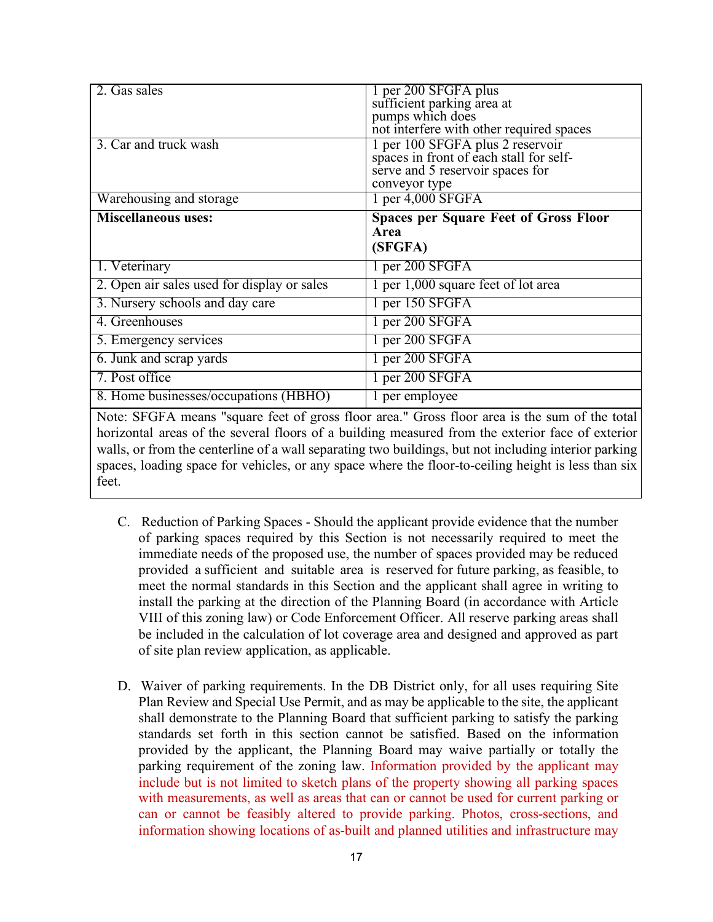| 2. Gas sales                                | 1 per 200 SFGFA plus                           |
|---------------------------------------------|------------------------------------------------|
|                                             | sufficient parking area at<br>pumps which does |
|                                             |                                                |
|                                             | not interfere with other required spaces       |
| 3. Car and truck wash                       | 1 per 100 SFGFA plus 2 reservoir               |
|                                             | spaces in front of each stall for self-        |
|                                             | serve and 5 reservoir spaces for               |
|                                             | conveyor type                                  |
| Warehousing and storage                     | 1 per 4,000 SFGFA                              |
| <b>Miscellaneous uses:</b>                  | <b>Spaces per Square Feet of Gross Floor</b>   |
|                                             | Area                                           |
|                                             | (SFGFA)                                        |
| 1. Veterinary                               | 1 per 200 SFGFA                                |
| 2. Open air sales used for display or sales | 1 per 1,000 square feet of lot area            |
| 3. Nursery schools and day care             | 1 per 150 SFGFA                                |
| 4. Greenhouses                              | 1 per 200 SFGFA                                |
| 5. Emergency services                       | 1 per 200 SFGFA                                |
|                                             |                                                |
| 6. Junk and scrap yards                     | 1 per 200 SFGFA                                |
| 7. Post office                              | 1 per 200 SFGFA                                |
| 8. Home businesses/occupations (HBHO)       | 1 per employee                                 |

Note: SFGFA means "square feet of gross floor area." Gross floor area is the sum of the total horizontal areas of the several floors of a building measured from the exterior face of exterior walls, or from the centerline of a wall separating two buildings, but not including interior parking spaces, loading space for vehicles, or any space where the floor-to-ceiling height is less than six feet.

- C. Reduction of Parking Spaces Should the applicant provide evidence that the number of parking spaces required by this Section is not necessarily required to meet the immediate needs of the proposed use, the number of spaces provided may be reduced provided a sufficient and suitable area is reserved for future parking, as feasible, to meet the normal standards in this Section and the applicant shall agree in writing to install the parking at the direction of the Planning Board (in accordance with Article VIII of this zoning law) or Code Enforcement Officer. All reserve parking areas shall be included in the calculation of lot coverage area and designed and approved as part of site plan review application, as applicable.
- D. Waiver of parking requirements. In the DB District only, for all uses requiring Site Plan Review and Special Use Permit, and as may be applicable to the site, the applicant shall demonstrate to the Planning Board that sufficient parking to satisfy the parking standards set forth in this section cannot be satisfied. Based on the information provided by the applicant, the Planning Board may waive partially or totally the parking requirement of the zoning law. Information provided by the applicant may include but is not limited to sketch plans of the property showing all parking spaces with measurements, as well as areas that can or cannot be used for current parking or can or cannot be feasibly altered to provide parking. Photos, cross-sections, and information showing locations of as-built and planned utilities and infrastructure may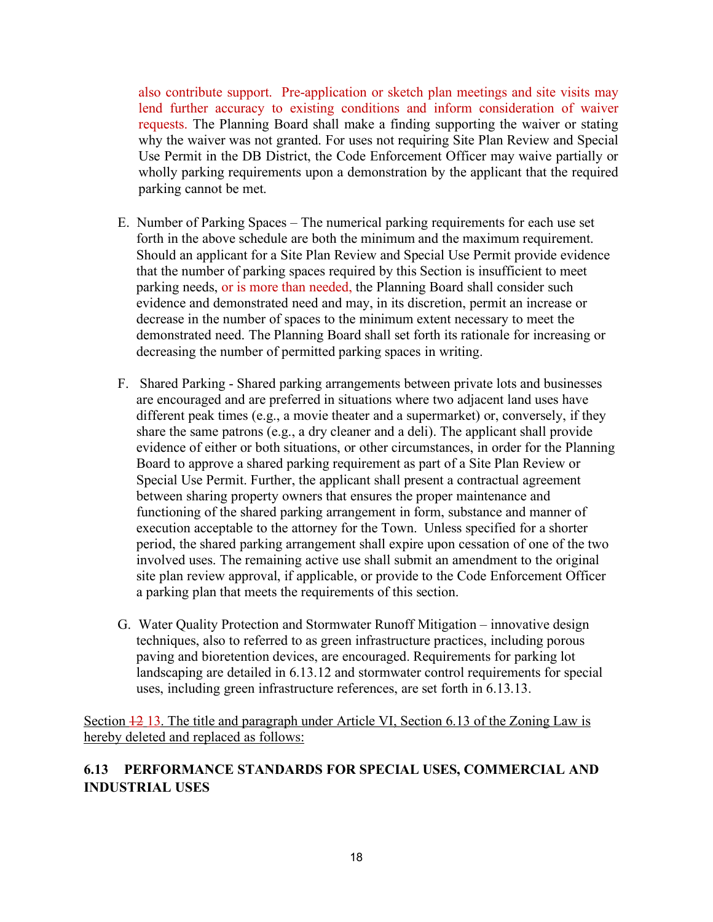also contribute support. Pre-application or sketch plan meetings and site visits may lend further accuracy to existing conditions and inform consideration of waiver requests. The Planning Board shall make a finding supporting the waiver or stating why the waiver was not granted. For uses not requiring Site Plan Review and Special Use Permit in the DB District, the Code Enforcement Officer may waive partially or wholly parking requirements upon a demonstration by the applicant that the required parking cannot be met.

- E. Number of Parking Spaces The numerical parking requirements for each use set forth in the above schedule are both the minimum and the maximum requirement. Should an applicant for a Site Plan Review and Special Use Permit provide evidence that the number of parking spaces required by this Section is insufficient to meet parking needs, or is more than needed, the Planning Board shall consider such evidence and demonstrated need and may, in its discretion, permit an increase or decrease in the number of spaces to the minimum extent necessary to meet the demonstrated need. The Planning Board shall set forth its rationale for increasing or decreasing the number of permitted parking spaces in writing.
- F. Shared Parking Shared parking arrangements between private lots and businesses are encouraged and are preferred in situations where two adjacent land uses have different peak times (e.g., a movie theater and a supermarket) or, conversely, if they share the same patrons (e.g., a dry cleaner and a deli). The applicant shall provide evidence of either or both situations, or other circumstances, in order for the Planning Board to approve a shared parking requirement as part of a Site Plan Review or Special Use Permit. Further, the applicant shall present a contractual agreement between sharing property owners that ensures the proper maintenance and functioning of the shared parking arrangement in form, substance and manner of execution acceptable to the attorney for the Town. Unless specified for a shorter period, the shared parking arrangement shall expire upon cessation of one of the two involved uses. The remaining active use shall submit an amendment to the original site plan review approval, if applicable, or provide to the Code Enforcement Officer a parking plan that meets the requirements of this section.
- G. Water Quality Protection and Stormwater Runoff Mitigation innovative design techniques, also to referred to as green infrastructure practices, including porous paving and bioretention devices, are encouraged. Requirements for parking lot landscaping are detailed in 6.13.12 and stormwater control requirements for special uses, including green infrastructure references, are set forth in 6.13.13.

Section 12 13. The title and paragraph under Article VI, Section 6.13 of the Zoning Law is hereby deleted and replaced as follows:

# **6.13 PERFORMANCE STANDARDS FOR SPECIAL USES, COMMERCIAL AND INDUSTRIAL USES**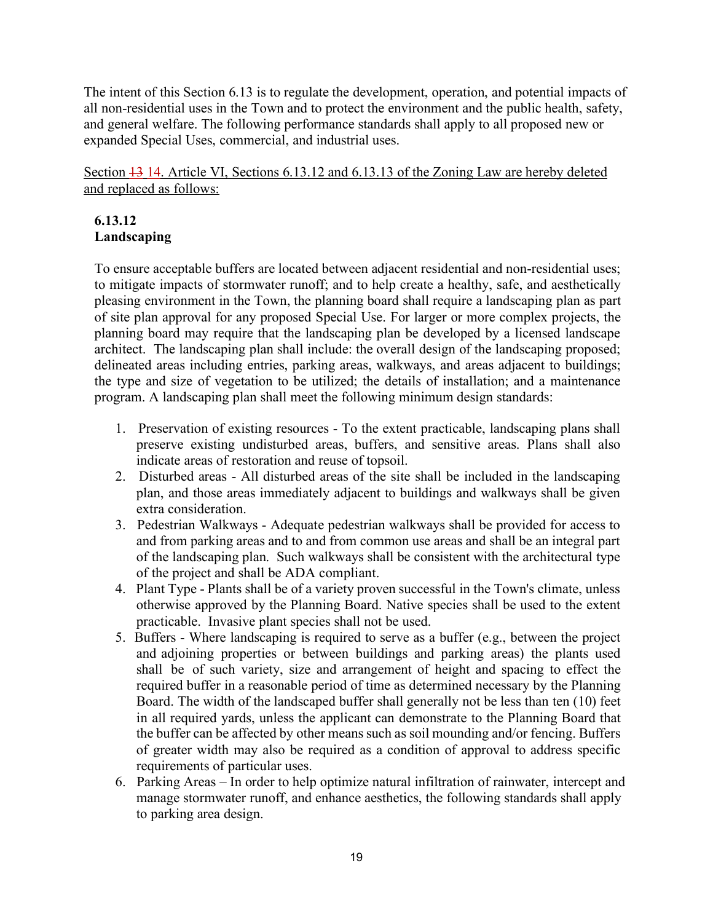The intent of this Section 6.13 is to regulate the development, operation, and potential impacts of all non-residential uses in the Town and to protect the environment and the public health, safety, and general welfare. The following performance standards shall apply to all proposed new or expanded Special Uses, commercial, and industrial uses.

Section  $\frac{13}{14}$ . Article VI, Sections 6.13.12 and 6.13.13 of the Zoning Law are hereby deleted and replaced as follows:

# **6.13.12 Landscaping**

To ensure acceptable buffers are located between adjacent residential and non-residential uses; to mitigate impacts of stormwater runoff; and to help create a healthy, safe, and aesthetically pleasing environment in the Town, the planning board shall require a landscaping plan as part of site plan approval for any proposed Special Use. For larger or more complex projects, the planning board may require that the landscaping plan be developed by a licensed landscape architect. The landscaping plan shall include: the overall design of the landscaping proposed; delineated areas including entries, parking areas, walkways, and areas adjacent to buildings; the type and size of vegetation to be utilized; the details of installation; and a maintenance program. A landscaping plan shall meet the following minimum design standards:

- 1. Preservation of existing resources To the extent practicable, landscaping plans shall preserve existing undisturbed areas, buffers, and sensitive areas. Plans shall also indicate areas of restoration and reuse of topsoil.
- 2. Disturbed areas All disturbed areas of the site shall be included in the landscaping plan, and those areas immediately adjacent to buildings and walkways shall be given extra consideration.
- 3. Pedestrian Walkways Adequate pedestrian walkways shall be provided for access to and from parking areas and to and from common use areas and shall be an integral part of the landscaping plan. Such walkways shall be consistent with the architectural type of the project and shall be ADA compliant.
- 4. Plant Type Plants shall be of a variety proven successful in the Town's climate, unless otherwise approved by the Planning Board. Native species shall be used to the extent practicable. Invasive plant species shall not be used.
- 5. Buffers Where landscaping is required to serve as a buffer (e.g., between the project and adjoining properties or between buildings and parking areas) the plants used shall be of such variety, size and arrangement of height and spacing to effect the required buffer in a reasonable period of time as determined necessary by the Planning Board. The width of the landscaped buffer shall generally not be less than ten (10) feet in all required yards, unless the applicant can demonstrate to the Planning Board that the buffer can be affected by other means such as soil mounding and/or fencing. Buffers of greater width may also be required as a condition of approval to address specific requirements of particular uses.
- 6. Parking Areas In order to help optimize natural infiltration of rainwater, intercept and manage stormwater runoff, and enhance aesthetics, the following standards shall apply to parking area design.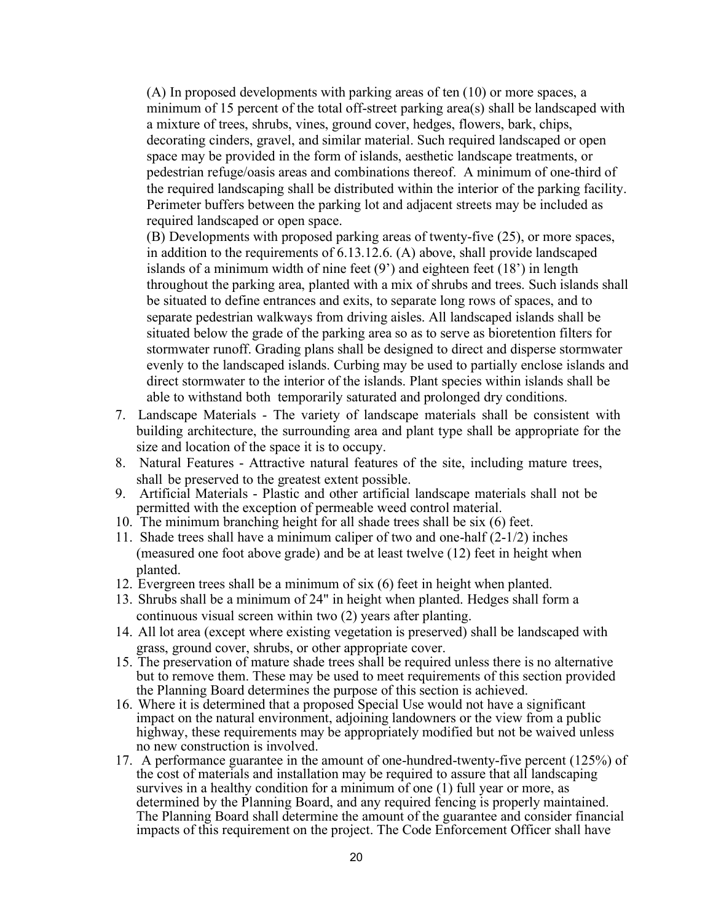(A) In proposed developments with parking areas of ten (10) or more spaces, a minimum of 15 percent of the total off-street parking area(s) shall be landscaped with a mixture of trees, shrubs, vines, ground cover, hedges, flowers, bark, chips, decorating cinders, gravel, and similar material. Such required landscaped or open space may be provided in the form of islands, aesthetic landscape treatments, or pedestrian refuge/oasis areas and combinations thereof. A minimum of one-third of the required landscaping shall be distributed within the interior of the parking facility. Perimeter buffers between the parking lot and adjacent streets may be included as required landscaped or open space.

(B) Developments with proposed parking areas of twenty-five (25), or more spaces, in addition to the requirements of 6.13.12.6. (A) above, shall provide landscaped islands of a minimum width of nine feet  $(9')$  and eighteen feet  $(18')$  in length throughout the parking area, planted with a mix of shrubs and trees. Such islands shall be situated to define entrances and exits, to separate long rows of spaces, and to separate pedestrian walkways from driving aisles. All landscaped islands shall be situated below the grade of the parking area so as to serve as bioretention filters for stormwater runoff. Grading plans shall be designed to direct and disperse stormwater evenly to the landscaped islands. Curbing may be used to partially enclose islands and direct stormwater to the interior of the islands. Plant species within islands shall be able to withstand both temporarily saturated and prolonged dry conditions.

- 7. Landscape Materials The variety of landscape materials shall be consistent with building architecture, the surrounding area and plant type shall be appropriate for the size and location of the space it is to occupy.
- 8. Natural Features Attractive natural features of the site, including mature trees, shall be preserved to the greatest extent possible.
- 9. Artificial Materials Plastic and other artificial landscape materials shall not be permitted with the exception of permeable weed control material.
- 10. The minimum branching height for all shade trees shall be six (6) feet.
- 11. Shade trees shall have a minimum caliper of two and one-half (2-1/2) inches (measured one foot above grade) and be at least twelve (12) feet in height when planted.
- 12. Evergreen trees shall be a minimum of six (6) feet in height when planted.
- 13. Shrubs shall be a minimum of 24" in height when planted. Hedges shall form a continuous visual screen within two (2) years after planting.
- 14. All lot area (except where existing vegetation is preserved) shall be landscaped with grass, ground cover, shrubs, or other appropriate cover.
- 15. The preservation of mature shade trees shall be required unless there is no alternative but to remove them. These may be used to meet requirements of this section provided the Planning Board determines the purpose of this section is achieved.
- 16. Where it is determined that a proposed Special Use would not have a significant impact on the natural environment, adjoining landowners or the view from a public highway, these requirements may be appropriately modified but not be waived unless no new construction is involved.
- 17. A performance guarantee in the amount of one-hundred-twenty-five percent (125%) of the cost of materials and installation may be required to assure that all landscaping survives in a healthy condition for a minimum of one (1) full year or more, as determined by the Planning Board, and any required fencing is properly maintained. The Planning Board shall determine the amount of the guarantee and consider financial impacts of this requirement on the project. The Code Enforcement Officer shall have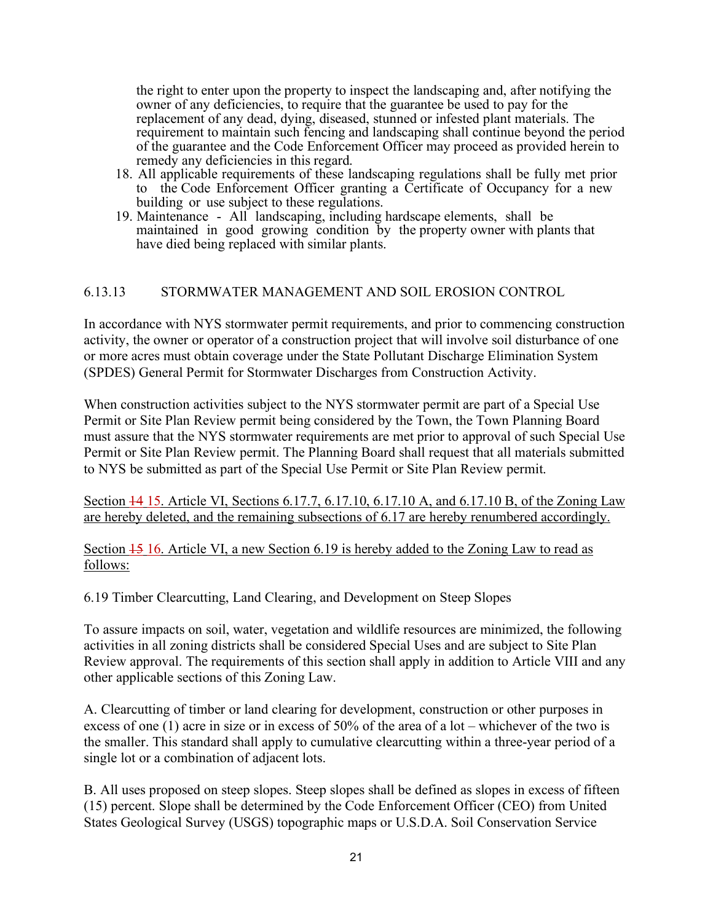the right to enter upon the property to inspect the landscaping and, after notifying the owner of any deficiencies, to require that the guarantee be used to pay for the replacement of any dead, dying, diseased, stunned or infested plant materials. The requirement to maintain such fencing and landscaping shall continue beyond the period of the guarantee and the Code Enforcement Officer may proceed as provided herein to remedy any deficiencies in this regard.

- 18. All applicable requirements of these landscaping regulations shall be fully met prior to the Code Enforcement Officer granting a Certificate of Occupancy for a new building or use subject to these regulations.
- 19. Maintenance All landscaping, including hardscape elements, shall be maintained in good growing condition by the property owner with plants that have died being replaced with similar plants.

### 6.13.13 STORMWATER MANAGEMENT AND SOIL EROSION CONTROL

In accordance with NYS stormwater permit requirements, and prior to commencing construction activity, the owner or operator of a construction project that will involve soil disturbance of one or more acres must obtain coverage under the State Pollutant Discharge Elimination System (SPDES) General Permit for Stormwater Discharges from Construction Activity.

When construction activities subject to the NYS stormwater permit are part of a Special Use Permit or Site Plan Review permit being considered by the Town, the Town Planning Board must assure that the NYS stormwater requirements are met prior to approval of such Special Use Permit or Site Plan Review permit. The Planning Board shall request that all materials submitted to NYS be submitted as part of the Special Use Permit or Site Plan Review permit.

Section 14 15. Article VI, Sections 6.17.7, 6.17.10, 6.17.10 A, and 6.17.10 B, of the Zoning Law are hereby deleted, and the remaining subsections of 6.17 are hereby renumbered accordingly.

Section 15 16. Article VI, a new Section 6.19 is hereby added to the Zoning Law to read as follows:

6.19 Timber Clearcutting, Land Clearing, and Development on Steep Slopes

To assure impacts on soil, water, vegetation and wildlife resources are minimized, the following activities in all zoning districts shall be considered Special Uses and are subject to Site Plan Review approval. The requirements of this section shall apply in addition to Article VIII and any other applicable sections of this Zoning Law.

A. Clearcutting of timber or land clearing for development, construction or other purposes in excess of one (1) acre in size or in excess of 50% of the area of a lot – whichever of the two is the smaller. This standard shall apply to cumulative clearcutting within a three-year period of a single lot or a combination of adjacent lots.

B. All uses proposed on steep slopes. Steep slopes shall be defined as slopes in excess of fifteen (15) percent. Slope shall be determined by the Code Enforcement Officer (CEO) from United States Geological Survey (USGS) topographic maps or U.S.D.A. Soil Conservation Service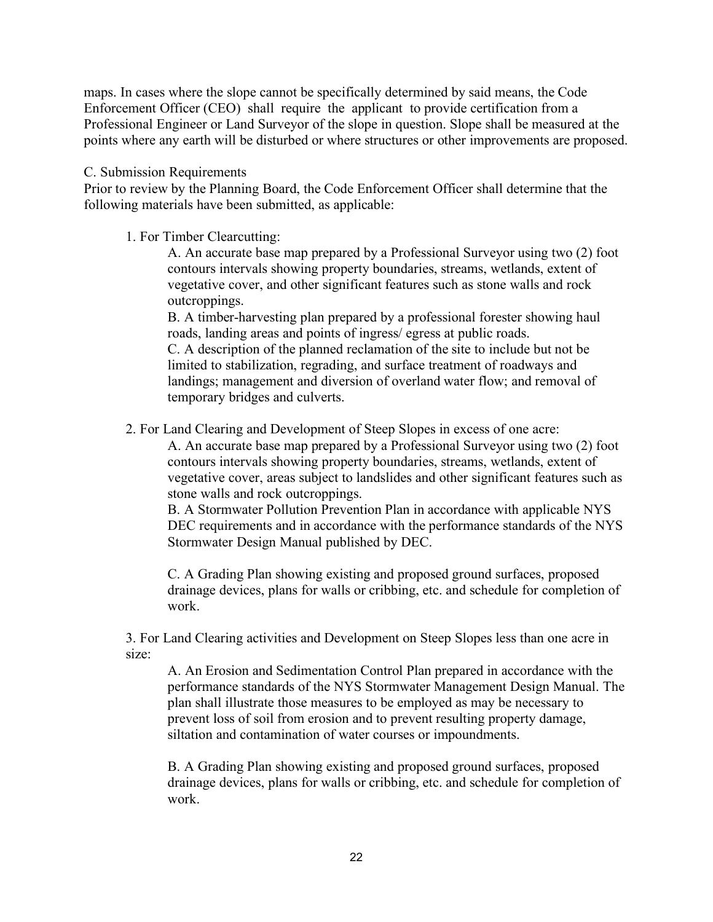maps. In cases where the slope cannot be specifically determined by said means, the Code Enforcement Officer (CEO) shall require the applicant to provide certification from a Professional Engineer or Land Surveyor of the slope in question. Slope shall be measured at the points where any earth will be disturbed or where structures or other improvements are proposed.

#### C. Submission Requirements

Prior to review by the Planning Board, the Code Enforcement Officer shall determine that the following materials have been submitted, as applicable:

1. For Timber Clearcutting:

A. An accurate base map prepared by a Professional Surveyor using two (2) foot contours intervals showing property boundaries, streams, wetlands, extent of vegetative cover, and other significant features such as stone walls and rock outcroppings.

B. A timber-harvesting plan prepared by a professional forester showing haul roads, landing areas and points of ingress/ egress at public roads. C. A description of the planned reclamation of the site to include but not be limited to stabilization, regrading, and surface treatment of roadways and landings; management and diversion of overland water flow; and removal of temporary bridges and culverts.

2. For Land Clearing and Development of Steep Slopes in excess of one acre:

A. An accurate base map prepared by a Professional Surveyor using two (2) foot contours intervals showing property boundaries, streams, wetlands, extent of vegetative cover, areas subject to landslides and other significant features such as stone walls and rock outcroppings.

B. A Stormwater Pollution Prevention Plan in accordance with applicable NYS DEC requirements and in accordance with the performance standards of the NYS Stormwater Design Manual published by DEC.

C. A Grading Plan showing existing and proposed ground surfaces, proposed drainage devices, plans for walls or cribbing, etc. and schedule for completion of work.

3. For Land Clearing activities and Development on Steep Slopes less than one acre in size:

A. An Erosion and Sedimentation Control Plan prepared in accordance with the performance standards of the NYS Stormwater Management Design Manual. The plan shall illustrate those measures to be employed as may be necessary to prevent loss of soil from erosion and to prevent resulting property damage, siltation and contamination of water courses or impoundments.

B. A Grading Plan showing existing and proposed ground surfaces, proposed drainage devices, plans for walls or cribbing, etc. and schedule for completion of work.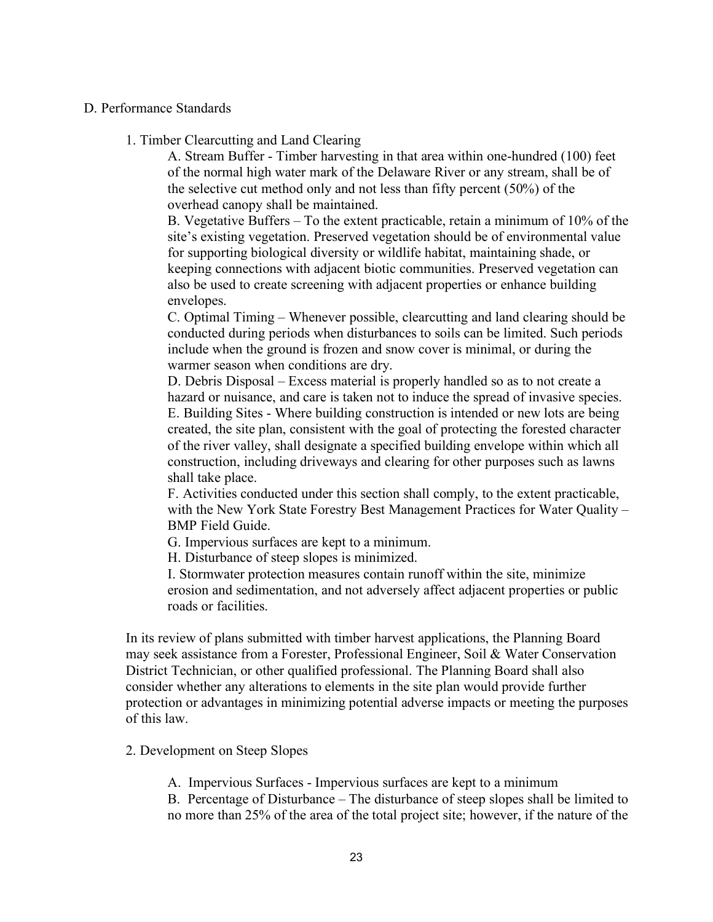#### D. Performance Standards

1. Timber Clearcutting and Land Clearing

A. Stream Buffer - Timber harvesting in that area within one-hundred (100) feet of the normal high water mark of the Delaware River or any stream, shall be of the selective cut method only and not less than fifty percent (50%) of the overhead canopy shall be maintained.

B. Vegetative Buffers – To the extent practicable, retain a minimum of 10% of the site's existing vegetation. Preserved vegetation should be of environmental value for supporting biological diversity or wildlife habitat, maintaining shade, or keeping connections with adjacent biotic communities. Preserved vegetation can also be used to create screening with adjacent properties or enhance building envelopes.

C. Optimal Timing – Whenever possible, clearcutting and land clearing should be conducted during periods when disturbances to soils can be limited. Such periods include when the ground is frozen and snow cover is minimal, or during the warmer season when conditions are dry.

D. Debris Disposal – Excess material is properly handled so as to not create a hazard or nuisance, and care is taken not to induce the spread of invasive species. E. Building Sites - Where building construction is intended or new lots are being created, the site plan, consistent with the goal of protecting the forested character of the river valley, shall designate a specified building envelope within which all construction, including driveways and clearing for other purposes such as lawns shall take place.

F. Activities conducted under this section shall comply, to the extent practicable, with the New York State Forestry Best Management Practices for Water Quality – BMP Field Guide.

G. Impervious surfaces are kept to a minimum.

H. Disturbance of steep slopes is minimized.

I. Stormwater protection measures contain runoff within the site, minimize erosion and sedimentation, and not adversely affect adjacent properties or public roads or facilities.

In its review of plans submitted with timber harvest applications, the Planning Board may seek assistance from a Forester, Professional Engineer, Soil & Water Conservation District Technician, or other qualified professional. The Planning Board shall also consider whether any alterations to elements in the site plan would provide further protection or advantages in minimizing potential adverse impacts or meeting the purposes of this law.

2. Development on Steep Slopes

A. Impervious Surfaces - Impervious surfaces are kept to a minimum

B. Percentage of Disturbance – The disturbance of steep slopes shall be limited to no more than 25% of the area of the total project site; however, if the nature of the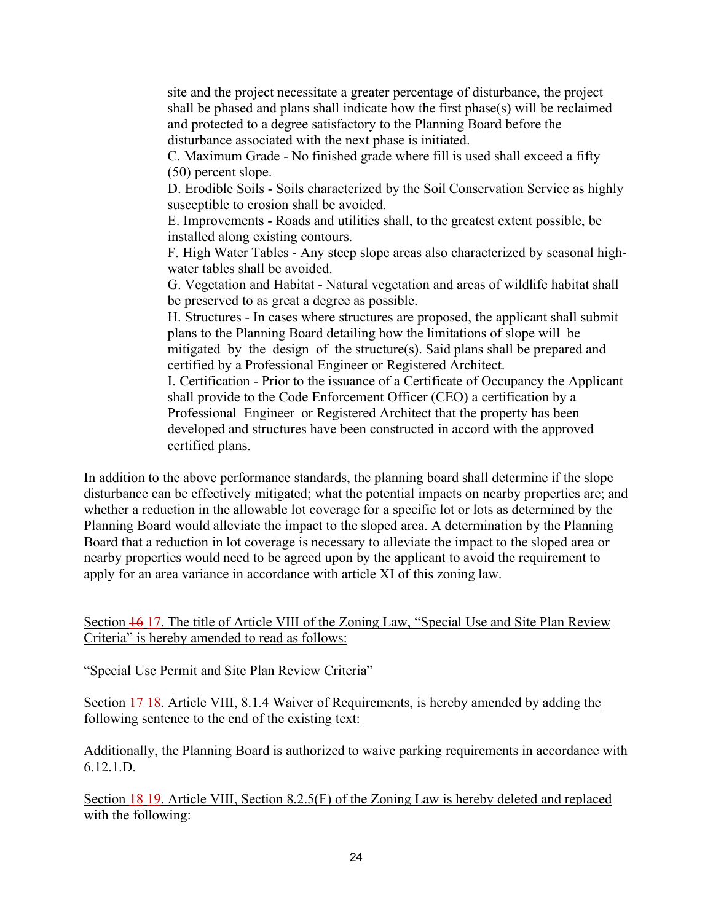site and the project necessitate a greater percentage of disturbance, the project shall be phased and plans shall indicate how the first phase(s) will be reclaimed and protected to a degree satisfactory to the Planning Board before the disturbance associated with the next phase is initiated.

C. Maximum Grade - No finished grade where fill is used shall exceed a fifty (50) percent slope.

D. Erodible Soils - Soils characterized by the Soil Conservation Service as highly susceptible to erosion shall be avoided.

E. Improvements - Roads and utilities shall, to the greatest extent possible, be installed along existing contours.

F. High Water Tables - Any steep slope areas also characterized by seasonal highwater tables shall be avoided.

G. Vegetation and Habitat - Natural vegetation and areas of wildlife habitat shall be preserved to as great a degree as possible.

H. Structures - In cases where structures are proposed, the applicant shall submit plans to the Planning Board detailing how the limitations of slope will be mitigated by the design of the structure(s). Said plans shall be prepared and certified by a Professional Engineer or Registered Architect.

I. Certification - Prior to the issuance of a Certificate of Occupancy the Applicant shall provide to the Code Enforcement Officer (CEO) a certification by a Professional Engineer or Registered Architect that the property has been developed and structures have been constructed in accord with the approved certified plans.

In addition to the above performance standards, the planning board shall determine if the slope disturbance can be effectively mitigated; what the potential impacts on nearby properties are; and whether a reduction in the allowable lot coverage for a specific lot or lots as determined by the Planning Board would alleviate the impact to the sloped area. A determination by the Planning Board that a reduction in lot coverage is necessary to alleviate the impact to the sloped area or nearby properties would need to be agreed upon by the applicant to avoid the requirement to apply for an area variance in accordance with article XI of this zoning law.

Section 16 17. The title of Article VIII of the Zoning Law, "Special Use and Site Plan Review Criteria" is hereby amended to read as follows:

"Special Use Permit and Site Plan Review Criteria"

Section 17 18. Article VIII, 8.1.4 Waiver of Requirements, is hereby amended by adding the following sentence to the end of the existing text:

Additionally, the Planning Board is authorized to waive parking requirements in accordance with 6.12.1.D.

Section 18 19. Article VIII, Section 8.2.5(F) of the Zoning Law is hereby deleted and replaced with the following: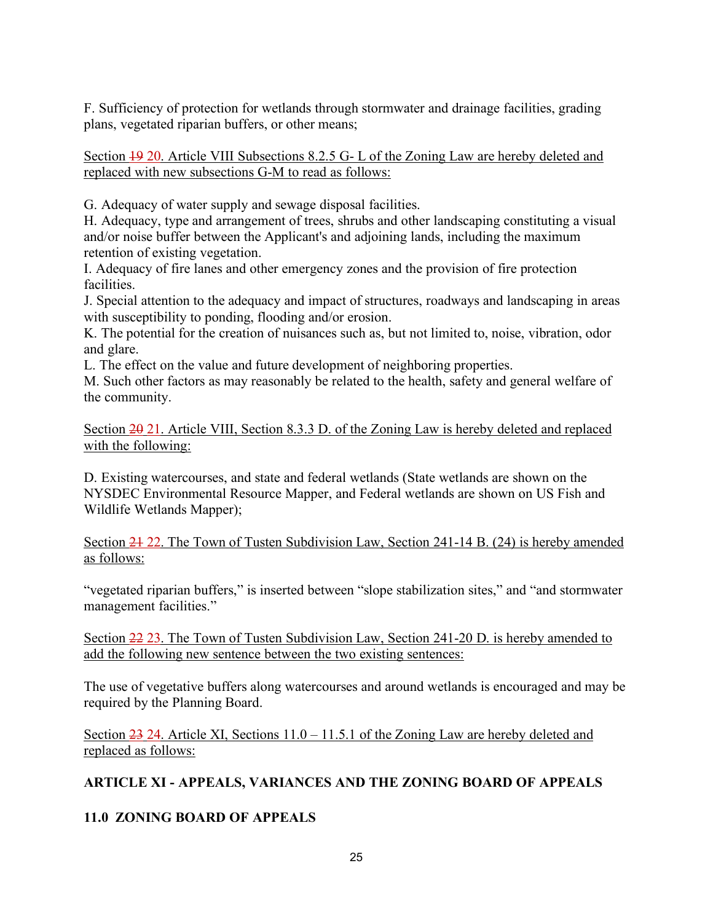F. Sufficiency of protection for wetlands through stormwater and drainage facilities, grading plans, vegetated riparian buffers, or other means;

Section 19 20. Article VIII Subsections 8.2.5 G- L of the Zoning Law are hereby deleted and replaced with new subsections G-M to read as follows:

G. Adequacy of water supply and sewage disposal facilities.

H. Adequacy, type and arrangement of trees, shrubs and other landscaping constituting a visual and/or noise buffer between the Applicant's and adjoining lands, including the maximum retention of existing vegetation.

I. Adequacy of fire lanes and other emergency zones and the provision of fire protection facilities.

J. Special attention to the adequacy and impact of structures, roadways and landscaping in areas with susceptibility to ponding, flooding and/or erosion.

K. The potential for the creation of nuisances such as, but not limited to, noise, vibration, odor and glare.

L. The effect on the value and future development of neighboring properties.

M. Such other factors as may reasonably be related to the health, safety and general welfare of the community.

Section  $\frac{20}{21}$ . Article VIII, Section 8.3.3 D. of the Zoning Law is hereby deleted and replaced with the following:

D. Existing watercourses, and state and federal wetlands (State wetlands are shown on the NYSDEC Environmental Resource Mapper, and Federal wetlands are shown on US Fish and Wildlife Wetlands Mapper);

Section 24 22. The Town of Tusten Subdivision Law, Section 241-14 B. (24) is hereby amended as follows:

"vegetated riparian buffers," is inserted between "slope stabilization sites," and "and stormwater management facilities."

Section 22 23. The Town of Tusten Subdivision Law, Section 241-20 D. is hereby amended to add the following new sentence between the two existing sentences:

The use of vegetative buffers along watercourses and around wetlands is encouraged and may be required by the Planning Board.

Section 23 24. Article XI, Sections 11.0 – 11.5.1 of the Zoning Law are hereby deleted and replaced as follows:

# **ARTICLE XI - APPEALS, VARIANCES AND THE ZONING BOARD OF APPEALS**

# **11.0 ZONING BOARD OF APPEALS**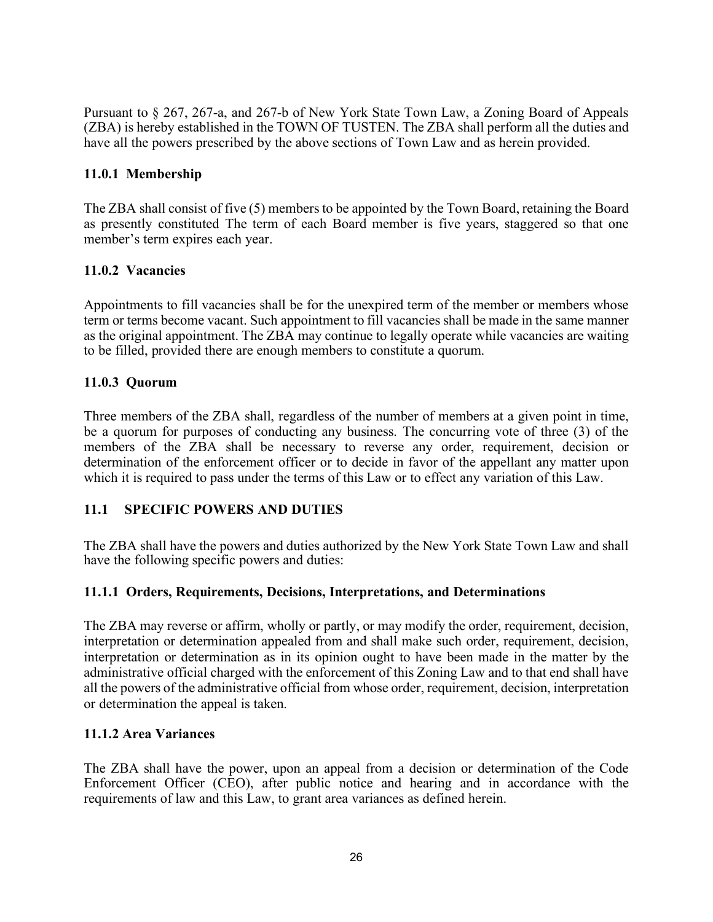Pursuant to § 267, 267-a, and 267-b of New York State Town Law, a Zoning Board of Appeals (ZBA) is hereby established in the TOWN OF TUSTEN. The ZBA shall perform all the duties and have all the powers prescribed by the above sections of Town Law and as herein provided.

### **11.0.1 Membership**

The ZBA shall consist of five (5) members to be appointed by the Town Board, retaining the Board as presently constituted The term of each Board member is five years, staggered so that one member's term expires each year.

### **11.0.2 Vacancies**

Appointments to fill vacancies shall be for the unexpired term of the member or members whose term or terms become vacant. Such appointment to fill vacancies shall be made in the same manner as the original appointment. The ZBA may continue to legally operate while vacancies are waiting to be filled, provided there are enough members to constitute a quorum.

### **11.0.3 Quorum**

Three members of the ZBA shall, regardless of the number of members at a given point in time, be a quorum for purposes of conducting any business. The concurring vote of three (3) of the members of the ZBA shall be necessary to reverse any order, requirement, decision or determination of the enforcement officer or to decide in favor of the appellant any matter upon which it is required to pass under the terms of this Law or to effect any variation of this Law.

#### **11.1 SPECIFIC POWERS AND DUTIES**

The ZBA shall have the powers and duties authorized by the New York State Town Law and shall have the following specific powers and duties:

#### **11.1.1 Orders, Requirements, Decisions, Interpretations, and Determinations**

The ZBA may reverse or affirm, wholly or partly, or may modify the order, requirement, decision, interpretation or determination appealed from and shall make such order, requirement, decision, interpretation or determination as in its opinion ought to have been made in the matter by the administrative official charged with the enforcement of this Zoning Law and to that end shall have all the powers of the administrative official from whose order, requirement, decision, interpretation or determination the appeal is taken.

#### **11.1.2 Area Variances**

The ZBA shall have the power, upon an appeal from a decision or determination of the Code Enforcement Officer (CEO), after public notice and hearing and in accordance with the requirements of law and this Law, to grant area variances as defined herein.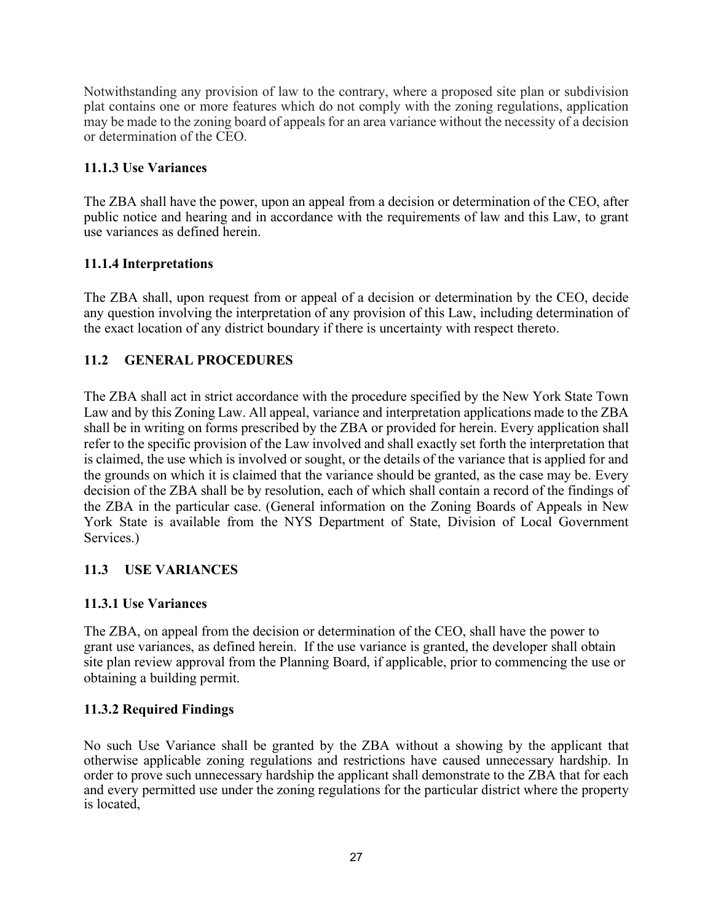Notwithstanding any provision of law to the contrary, where a proposed site plan or subdivision plat contains one or more features which do not comply with the zoning regulations, application may be made to the zoning board of appeals for an area variance without the necessity of a decision or determination of the CEO.

# **11.1.3 Use Variances**

The ZBA shall have the power, upon an appeal from a decision or determination of the CEO, after public notice and hearing and in accordance with the requirements of law and this Law, to grant use variances as defined herein.

# **11.1.4 Interpretations**

The ZBA shall, upon request from or appeal of a decision or determination by the CEO, decide any question involving the interpretation of any provision of this Law, including determination of the exact location of any district boundary if there is uncertainty with respect thereto.

# **11.2 GENERAL PROCEDURES**

The ZBA shall act in strict accordance with the procedure specified by the New York State Town Law and by this Zoning Law. All appeal, variance and interpretation applications made to the ZBA shall be in writing on forms prescribed by the ZBA or provided for herein. Every application shall refer to the specific provision of the Law involved and shall exactly set forth the interpretation that is claimed, the use which is involved or sought, or the details of the variance that is applied for and the grounds on which it is claimed that the variance should be granted, as the case may be. Every decision of the ZBA shall be by resolution, each of which shall contain a record of the findings of the ZBA in the particular case. (General information on the Zoning Boards of Appeals in New York State is available from the NYS Department of State, Division of Local Government Services.)

# **11.3 USE VARIANCES**

# **11.3.1 Use Variances**

The ZBA, on appeal from the decision or determination of the CEO, shall have the power to grant use variances, as defined herein. If the use variance is granted, the developer shall obtain site plan review approval from the Planning Board, if applicable, prior to commencing the use or obtaining a building permit.

# **11.3.2 Required Findings**

No such Use Variance shall be granted by the ZBA without a showing by the applicant that otherwise applicable zoning regulations and restrictions have caused unnecessary hardship. In order to prove such unnecessary hardship the applicant shall demonstrate to the ZBA that for each and every permitted use under the zoning regulations for the particular district where the property is located,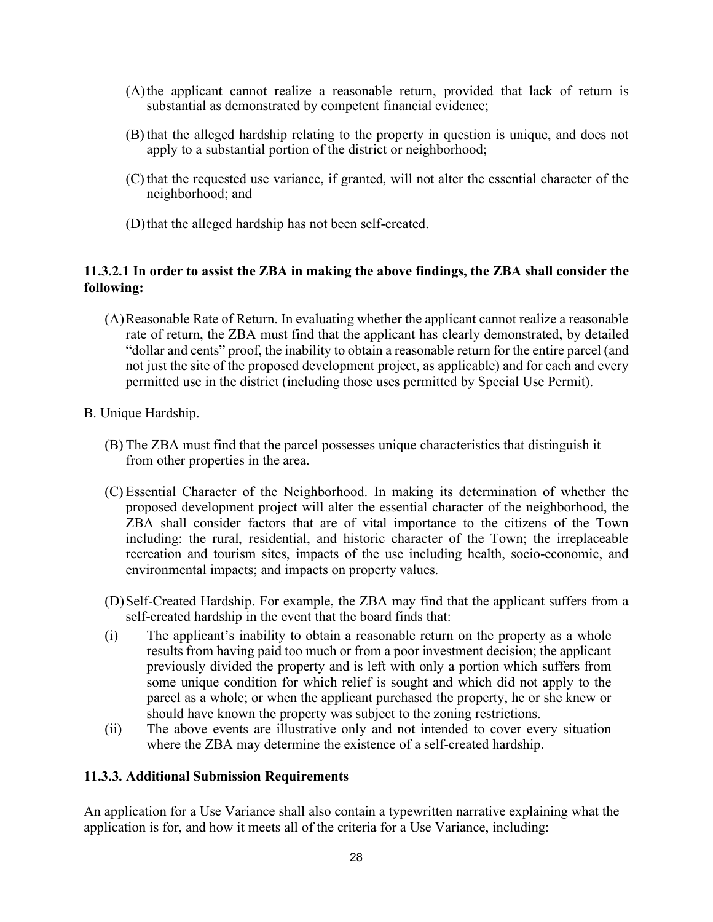- (A)the applicant cannot realize a reasonable return, provided that lack of return is substantial as demonstrated by competent financial evidence;
- (B) that the alleged hardship relating to the property in question is unique, and does not apply to a substantial portion of the district or neighborhood;
- (C) that the requested use variance, if granted, will not alter the essential character of the neighborhood; and
- (D)that the alleged hardship has not been self-created.

### **11.3.2.1 In order to assist the ZBA in making the above findings, the ZBA shall consider the following:**

- (A)Reasonable Rate of Return. In evaluating whether the applicant cannot realize a reasonable rate of return, the ZBA must find that the applicant has clearly demonstrated, by detailed "dollar and cents" proof, the inability to obtain a reasonable return for the entire parcel (and not just the site of the proposed development project, as applicable) and for each and every permitted use in the district (including those uses permitted by Special Use Permit).
- B. Unique Hardship.
	- (B) The ZBA must find that the parcel possesses unique characteristics that distinguish it from other properties in the area.
	- (C) Essential Character of the Neighborhood. In making its determination of whether the proposed development project will alter the essential character of the neighborhood, the ZBA shall consider factors that are of vital importance to the citizens of the Town including: the rural, residential, and historic character of the Town; the irreplaceable recreation and tourism sites, impacts of the use including health, socio-economic, and environmental impacts; and impacts on property values.
	- (D)Self-Created Hardship. For example, the ZBA may find that the applicant suffers from a self-created hardship in the event that the board finds that:
	- (i) The applicant's inability to obtain a reasonable return on the property as a whole results from having paid too much or from a poor investment decision; the applicant previously divided the property and is left with only a portion which suffers from some unique condition for which relief is sought and which did not apply to the parcel as a whole; or when the applicant purchased the property, he or she knew or should have known the property was subject to the zoning restrictions.
	- (ii) The above events are illustrative only and not intended to cover every situation where the ZBA may determine the existence of a self-created hardship.

#### **11.3.3. Additional Submission Requirements**

An application for a Use Variance shall also contain a typewritten narrative explaining what the application is for, and how it meets all of the criteria for a Use Variance, including: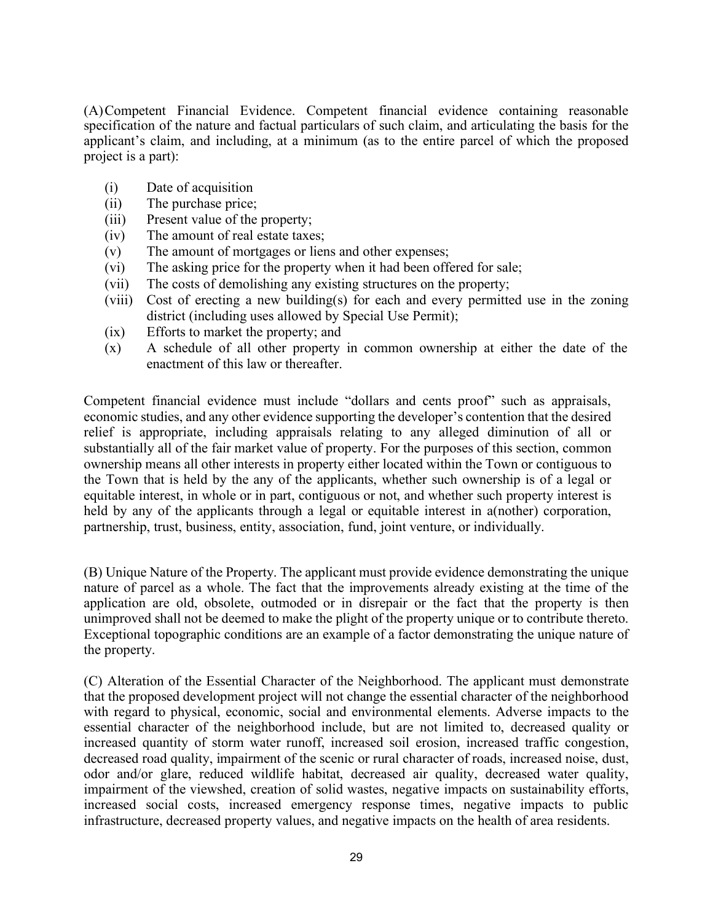(A)Competent Financial Evidence. Competent financial evidence containing reasonable specification of the nature and factual particulars of such claim, and articulating the basis for the applicant's claim, and including, at a minimum (as to the entire parcel of which the proposed project is a part):

- (i) Date of acquisition
- (ii) The purchase price;
- (iii) Present value of the property;
- (iv) The amount of real estate taxes;
- (v) The amount of mortgages or liens and other expenses;
- (vi) The asking price for the property when it had been offered for sale;
- (vii) The costs of demolishing any existing structures on the property;
- (viii) Cost of erecting a new building(s) for each and every permitted use in the zoning district (including uses allowed by Special Use Permit);
- (ix) Efforts to market the property; and
- (x) A schedule of all other property in common ownership at either the date of the enactment of this law or thereafter.

Competent financial evidence must include "dollars and cents proof" such as appraisals, economic studies, and any other evidence supporting the developer's contention that the desired relief is appropriate, including appraisals relating to any alleged diminution of all or substantially all of the fair market value of property. For the purposes of this section, common ownership means all other interests in property either located within the Town or contiguous to the Town that is held by the any of the applicants, whether such ownership is of a legal or equitable interest, in whole or in part, contiguous or not, and whether such property interest is held by any of the applicants through a legal or equitable interest in a(nother) corporation, partnership, trust, business, entity, association, fund, joint venture, or individually.

(B) Unique Nature of the Property. The applicant must provide evidence demonstrating the unique nature of parcel as a whole. The fact that the improvements already existing at the time of the application are old, obsolete, outmoded or in disrepair or the fact that the property is then unimproved shall not be deemed to make the plight of the property unique or to contribute thereto. Exceptional topographic conditions are an example of a factor demonstrating the unique nature of the property.

(C) Alteration of the Essential Character of the Neighborhood. The applicant must demonstrate that the proposed development project will not change the essential character of the neighborhood with regard to physical, economic, social and environmental elements. Adverse impacts to the essential character of the neighborhood include, but are not limited to, decreased quality or increased quantity of storm water runoff, increased soil erosion, increased traffic congestion, decreased road quality, impairment of the scenic or rural character of roads, increased noise, dust, odor and/or glare, reduced wildlife habitat, decreased air quality, decreased water quality, impairment of the viewshed, creation of solid wastes, negative impacts on sustainability efforts, increased social costs, increased emergency response times, negative impacts to public infrastructure, decreased property values, and negative impacts on the health of area residents.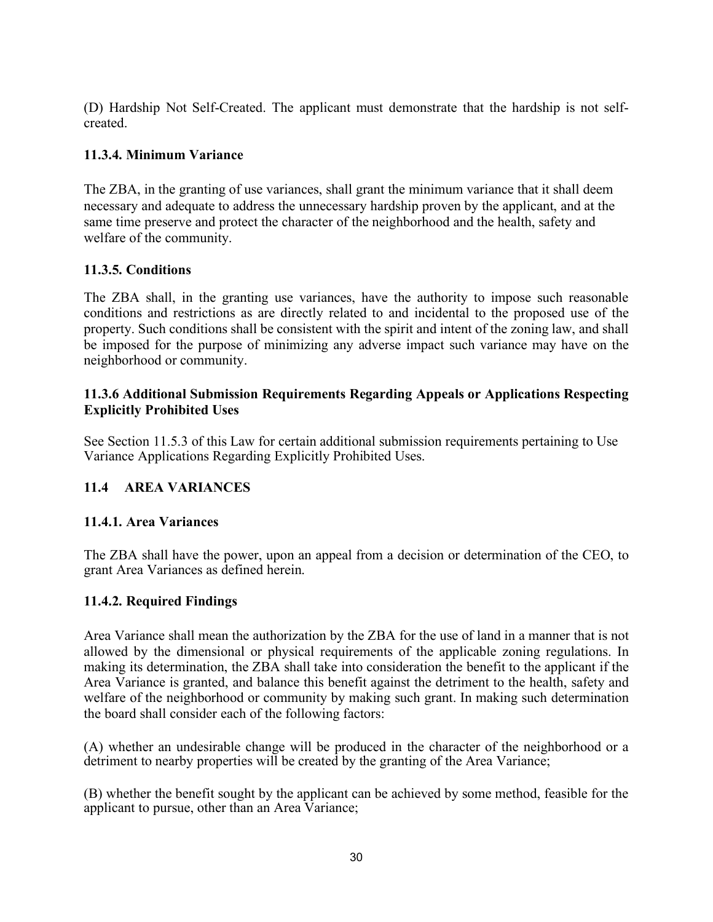(D) Hardship Not Self-Created. The applicant must demonstrate that the hardship is not selfcreated.

# **11.3.4. Minimum Variance**

The ZBA, in the granting of use variances, shall grant the minimum variance that it shall deem necessary and adequate to address the unnecessary hardship proven by the applicant, and at the same time preserve and protect the character of the neighborhood and the health, safety and welfare of the community.

# **11.3.5. Conditions**

The ZBA shall, in the granting use variances, have the authority to impose such reasonable conditions and restrictions as are directly related to and incidental to the proposed use of the property. Such conditions shall be consistent with the spirit and intent of the zoning law, and shall be imposed for the purpose of minimizing any adverse impact such variance may have on the neighborhood or community.

### **11.3.6 Additional Submission Requirements Regarding Appeals or Applications Respecting Explicitly Prohibited Uses**

See Section 11.5.3 of this Law for certain additional submission requirements pertaining to Use Variance Applications Regarding Explicitly Prohibited Uses.

# **11.4 AREA VARIANCES**

# **11.4.1. Area Variances**

The ZBA shall have the power, upon an appeal from a decision or determination of the CEO, to grant Area Variances as defined herein.

# **11.4.2. Required Findings**

Area Variance shall mean the authorization by the ZBA for the use of land in a manner that is not allowed by the dimensional or physical requirements of the applicable zoning regulations. In making its determination, the ZBA shall take into consideration the benefit to the applicant if the Area Variance is granted, and balance this benefit against the detriment to the health, safety and welfare of the neighborhood or community by making such grant. In making such determination the board shall consider each of the following factors:

(A) whether an undesirable change will be produced in the character of the neighborhood or a detriment to nearby properties will be created by the granting of the Area Variance;

(B) whether the benefit sought by the applicant can be achieved by some method, feasible for the applicant to pursue, other than an Area Variance;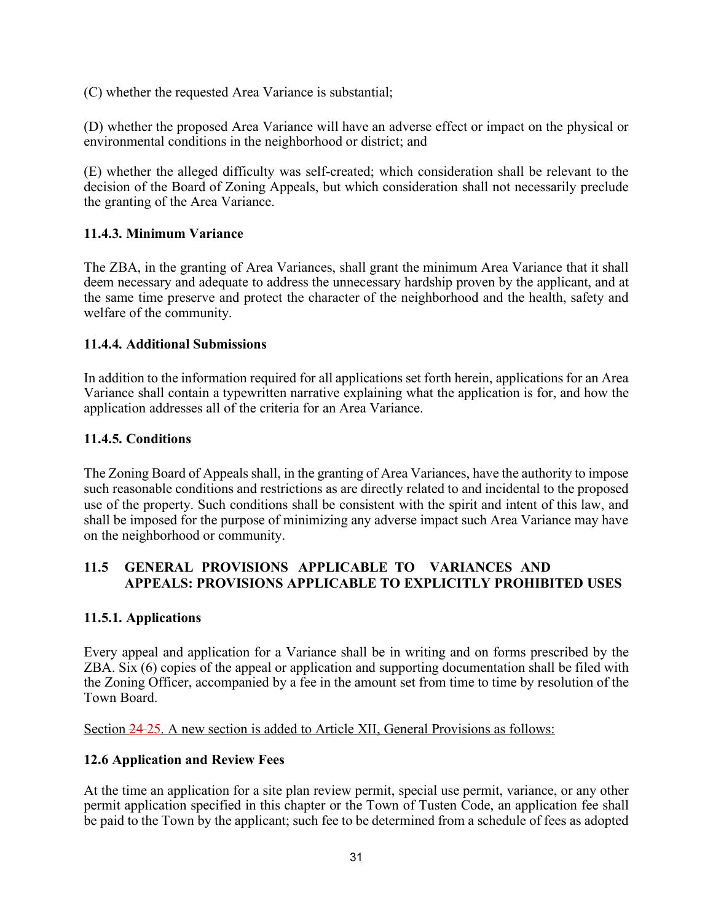(C) whether the requested Area Variance is substantial;

(D) whether the proposed Area Variance will have an adverse effect or impact on the physical or environmental conditions in the neighborhood or district; and

(E) whether the alleged difficulty was self-created; which consideration shall be relevant to the decision of the Board of Zoning Appeals, but which consideration shall not necessarily preclude the granting of the Area Variance.

### **11.4.3. Minimum Variance**

The ZBA, in the granting of Area Variances, shall grant the minimum Area Variance that it shall deem necessary and adequate to address the unnecessary hardship proven by the applicant, and at the same time preserve and protect the character of the neighborhood and the health, safety and welfare of the community.

#### **11.4.4. Additional Submissions**

In addition to the information required for all applications set forth herein, applications for an Area Variance shall contain a typewritten narrative explaining what the application is for, and how the application addresses all of the criteria for an Area Variance.

### **11.4.5. Conditions**

The Zoning Board of Appeals shall, in the granting of Area Variances, have the authority to impose such reasonable conditions and restrictions as are directly related to and incidental to the proposed use of the property. Such conditions shall be consistent with the spirit and intent of this law, and shall be imposed for the purpose of minimizing any adverse impact such Area Variance may have on the neighborhood or community.

# **11.5 GENERAL PROVISIONS APPLICABLE TO VARIANCES AND APPEALS: PROVISIONS APPLICABLE TO EXPLICITLY PROHIBITED USES**

#### **11.5.1. Applications**

Every appeal and application for a Variance shall be in writing and on forms prescribed by the ZBA. Six (6) copies of the appeal or application and supporting documentation shall be filed with the Zoning Officer, accompanied by a fee in the amount set from time to time by resolution of the Town Board.

Section 24 25. A new section is added to Article XII, General Provisions as follows:

#### **12.6 Application and Review Fees**

At the time an application for a site plan review permit, special use permit, variance, or any other permit application specified in this chapter or the Town of Tusten Code, an application fee shall be paid to the Town by the applicant; such fee to be determined from a schedule of fees as adopted